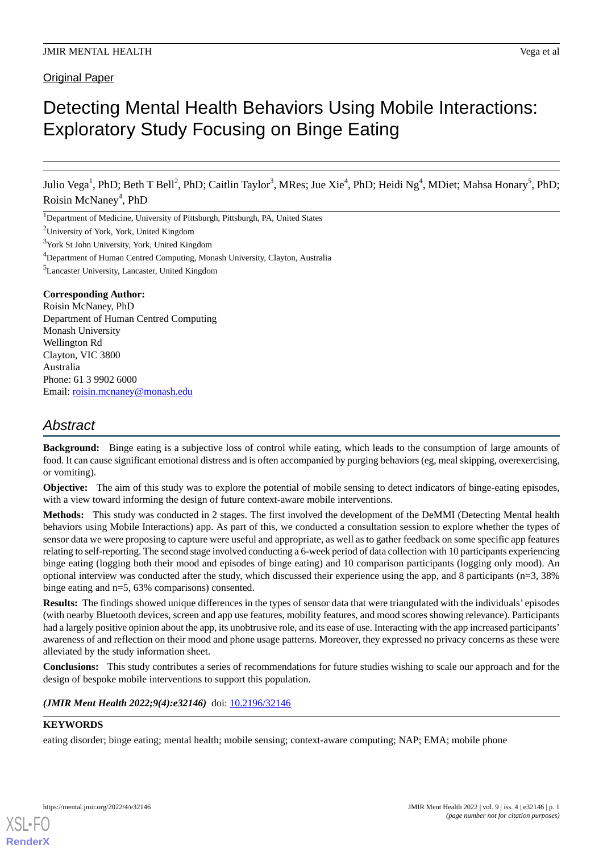# Detecting Mental Health Behaviors Using Mobile Interactions: Exploratory Study Focusing on Binge Eating

Julio Vega<sup>1</sup>, PhD; Beth T Bell<sup>2</sup>, PhD; Caitlin Taylor<sup>3</sup>, MRes; Jue Xie<sup>4</sup>, PhD; Heidi Ng<sup>4</sup>, MDiet; Mahsa Honary<sup>5</sup>, PhD; Roisin McNaney 4 , PhD

<sup>1</sup>Department of Medicine, University of Pittsburgh, Pittsburgh, PA, United States

<sup>2</sup>University of York, York, United Kingdom

<sup>3</sup>York St John University, York, United Kingdom

<sup>4</sup>Department of Human Centred Computing, Monash University, Clayton, Australia

<sup>5</sup>Lancaster University, Lancaster, United Kingdom

#### **Corresponding Author:**

Roisin McNaney, PhD Department of Human Centred Computing Monash University Wellington Rd Clayton, VIC 3800 Australia Phone: 61 3 9902 6000 Email: [roisin.mcnaney@monash.edu](mailto:roisin.mcnaney@monash.edu)

# *Abstract*

**Background:** Binge eating is a subjective loss of control while eating, which leads to the consumption of large amounts of food. It can cause significant emotional distress and is often accompanied by purging behaviors (eg, meal skipping, overexercising, or vomiting).

**Objective:** The aim of this study was to explore the potential of mobile sensing to detect indicators of binge-eating episodes, with a view toward informing the design of future context-aware mobile interventions.

**Methods:** This study was conducted in 2 stages. The first involved the development of the DeMMI (Detecting Mental health behaviors using Mobile Interactions) app. As part of this, we conducted a consultation session to explore whether the types of sensor data we were proposing to capture were useful and appropriate, as well as to gather feedback on some specific app features relating to self-reporting. The second stage involved conducting a 6-week period of data collection with 10 participants experiencing binge eating (logging both their mood and episodes of binge eating) and 10 comparison participants (logging only mood). An optional interview was conducted after the study, which discussed their experience using the app, and 8 participants (n=3, 38% binge eating and n=5, 63% comparisons) consented.

**Results:** The findings showed unique differences in the types of sensor data that were triangulated with the individuals' episodes (with nearby Bluetooth devices, screen and app use features, mobility features, and mood scores showing relevance). Participants had a largely positive opinion about the app, its unobtrusive role, and its ease of use. Interacting with the app increased participants' awareness of and reflection on their mood and phone usage patterns. Moreover, they expressed no privacy concerns as these were alleviated by the study information sheet.

**Conclusions:** This study contributes a series of recommendations for future studies wishing to scale our approach and for the design of bespoke mobile interventions to support this population.

(JMIR Ment Health 2022;9(4):e32146) doi: [10.2196/32146](http://dx.doi.org/10.2196/32146)

## **KEYWORDS**

eating disorder; binge eating; mental health; mobile sensing; context-aware computing; NAP; EMA; mobile phone

**[RenderX](http://www.renderx.com/)**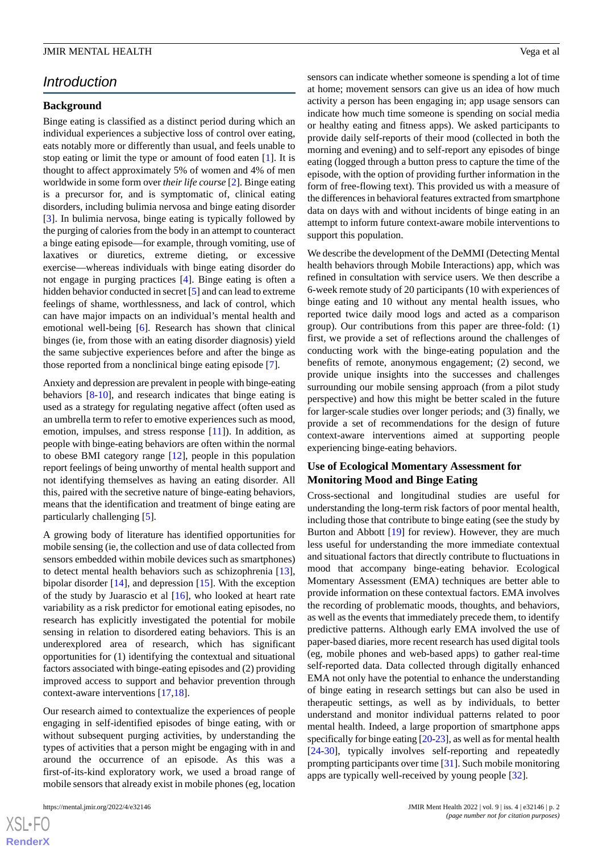# *Introduction*

## **Background**

Binge eating is classified as a distinct period during which an individual experiences a subjective loss of control over eating, eats notably more or differently than usual, and feels unable to stop eating or limit the type or amount of food eaten [\[1](#page-15-0)]. It is thought to affect approximately 5% of women and 4% of men worldwide in some form over *their life course* [\[2\]](#page-15-1). Binge eating is a precursor for, and is symptomatic of, clinical eating disorders, including bulimia nervosa and binge eating disorder [[3\]](#page-15-2). In bulimia nervosa, binge eating is typically followed by the purging of calories from the body in an attempt to counteract a binge eating episode—for example, through vomiting, use of laxatives or diuretics, extreme dieting, or excessive exercise—whereas individuals with binge eating disorder do not engage in purging practices [[4\]](#page-15-3). Binge eating is often a hidden behavior conducted in secret [\[5](#page-15-4)] and can lead to extreme feelings of shame, worthlessness, and lack of control, which can have major impacts on an individual's mental health and emotional well-being [[6\]](#page-15-5). Research has shown that clinical binges (ie, from those with an eating disorder diagnosis) yield the same subjective experiences before and after the binge as those reported from a nonclinical binge eating episode [[7\]](#page-15-6).

Anxiety and depression are prevalent in people with binge-eating behaviors [\[8](#page-15-7)-[10\]](#page-16-0), and research indicates that binge eating is used as a strategy for regulating negative affect (often used as an umbrella term to refer to emotive experiences such as mood, emotion, impulses, and stress response [\[11](#page-16-1)]). In addition, as people with binge-eating behaviors are often within the normal to obese BMI category range [[12\]](#page-16-2), people in this population report feelings of being unworthy of mental health support and not identifying themselves as having an eating disorder. All this, paired with the secretive nature of binge-eating behaviors, means that the identification and treatment of binge eating are particularly challenging [[5\]](#page-15-4).

A growing body of literature has identified opportunities for mobile sensing (ie, the collection and use of data collected from sensors embedded within mobile devices such as smartphones) to detect mental health behaviors such as schizophrenia [[13\]](#page-16-3), bipolar disorder [\[14](#page-16-4)], and depression [\[15](#page-16-5)]. With the exception of the study by Juarascio et al [[16\]](#page-16-6), who looked at heart rate variability as a risk predictor for emotional eating episodes, no research has explicitly investigated the potential for mobile sensing in relation to disordered eating behaviors. This is an underexplored area of research, which has significant opportunities for (1) identifying the contextual and situational factors associated with binge-eating episodes and (2) providing improved access to support and behavior prevention through context-aware interventions [\[17](#page-16-7),[18\]](#page-16-8).

Our research aimed to contextualize the experiences of people engaging in self-identified episodes of binge eating, with or without subsequent purging activities, by understanding the types of activities that a person might be engaging with in and around the occurrence of an episode. As this was a first-of-its-kind exploratory work, we used a broad range of mobile sensors that already exist in mobile phones (eg, location

sensors can indicate whether someone is spending a lot of time at home; movement sensors can give us an idea of how much activity a person has been engaging in; app usage sensors can indicate how much time someone is spending on social media or healthy eating and fitness apps). We asked participants to provide daily self-reports of their mood (collected in both the morning and evening) and to self-report any episodes of binge eating (logged through a button press to capture the time of the episode, with the option of providing further information in the form of free-flowing text). This provided us with a measure of the differences in behavioral features extracted from smartphone data on days with and without incidents of binge eating in an attempt to inform future context-aware mobile interventions to support this population.

We describe the development of the DeMMI (Detecting Mental health behaviors through Mobile Interactions) app, which was refined in consultation with service users. We then describe a 6-week remote study of 20 participants (10 with experiences of binge eating and 10 without any mental health issues, who reported twice daily mood logs and acted as a comparison group). Our contributions from this paper are three-fold: (1) first, we provide a set of reflections around the challenges of conducting work with the binge-eating population and the benefits of remote, anonymous engagement; (2) second, we provide unique insights into the successes and challenges surrounding our mobile sensing approach (from a pilot study perspective) and how this might be better scaled in the future for larger-scale studies over longer periods; and (3) finally, we provide a set of recommendations for the design of future context-aware interventions aimed at supporting people experiencing binge-eating behaviors.

## **Use of Ecological Momentary Assessment for Monitoring Mood and Binge Eating**

Cross-sectional and longitudinal studies are useful for understanding the long-term risk factors of poor mental health, including those that contribute to binge eating (see the study by Burton and Abbott [\[19](#page-16-9)] for review). However, they are much less useful for understanding the more immediate contextual and situational factors that directly contribute to fluctuations in mood that accompany binge-eating behavior. Ecological Momentary Assessment (EMA) techniques are better able to provide information on these contextual factors. EMA involves the recording of problematic moods, thoughts, and behaviors, as well as the events that immediately precede them, to identify predictive patterns. Although early EMA involved the use of paper-based diaries, more recent research has used digital tools (eg, mobile phones and web-based apps) to gather real-time self-reported data. Data collected through digitally enhanced EMA not only have the potential to enhance the understanding of binge eating in research settings but can also be used in therapeutic settings, as well as by individuals, to better understand and monitor individual patterns related to poor mental health. Indeed, a large proportion of smartphone apps specifically for binge eating [[20-](#page-16-10)[23\]](#page-16-11), as well as for mental health [[24](#page-16-12)[-30](#page-16-13)], typically involves self-reporting and repeatedly prompting participants over time [[31\]](#page-16-14). Such mobile monitoring apps are typically well-received by young people [[32\]](#page-17-0).

 $XS$ -FO **[RenderX](http://www.renderx.com/)**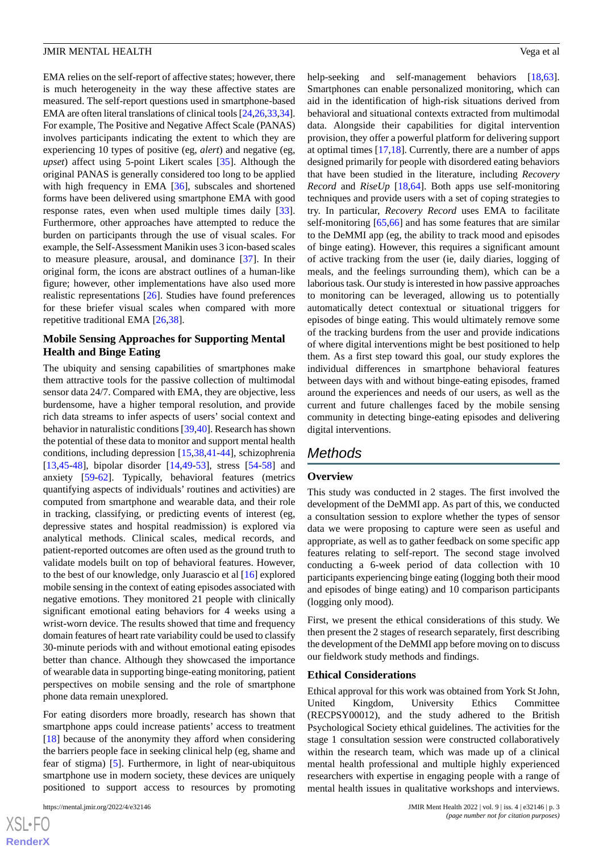EMA relies on the self-report of affective states; however, there is much heterogeneity in the way these affective states are measured. The self-report questions used in smartphone-based EMA are often literal translations of clinical tools [\[24](#page-16-12),[26](#page-16-15),[33,](#page-17-1)[34\]](#page-17-2). For example, The Positive and Negative Affect Scale (PANAS) involves participants indicating the extent to which they are experiencing 10 types of positive (eg, *alert*) and negative (eg, *upset*) affect using 5-point Likert scales [\[35](#page-17-3)]. Although the original PANAS is generally considered too long to be applied with high frequency in EMA [\[36](#page-17-4)], subscales and shortened forms have been delivered using smartphone EMA with good response rates, even when used multiple times daily [[33\]](#page-17-1). Furthermore, other approaches have attempted to reduce the burden on participants through the use of visual scales. For example, the Self-Assessment Manikin uses 3 icon-based scales to measure pleasure, arousal, and dominance [[37\]](#page-17-5). In their original form, the icons are abstract outlines of a human-like figure; however, other implementations have also used more realistic representations [[26\]](#page-16-15). Studies have found preferences for these briefer visual scales when compared with more repetitive traditional EMA [\[26](#page-16-15),[38\]](#page-17-6).

## **Mobile Sensing Approaches for Supporting Mental Health and Binge Eating**

The ubiquity and sensing capabilities of smartphones make them attractive tools for the passive collection of multimodal sensor data 24/7. Compared with EMA, they are objective, less burdensome, have a higher temporal resolution, and provide rich data streams to infer aspects of users' social context and behavior in naturalistic conditions [[39](#page-17-7)[,40](#page-17-8)]. Research has shown the potential of these data to monitor and support mental health conditions, including depression [\[15](#page-16-5),[38,](#page-17-6)[41](#page-17-9)[-44](#page-17-10)], schizophrenia [[13](#page-16-3)[,45](#page-17-11)-[48\]](#page-17-12), bipolar disorder [[14,](#page-16-4)[49](#page-17-13)-[53\]](#page-18-0), stress [\[54](#page-18-1)-[58\]](#page-18-2) and anxiety [[59-](#page-18-3)[62\]](#page-18-4). Typically, behavioral features (metrics quantifying aspects of individuals' routines and activities) are computed from smartphone and wearable data, and their role in tracking, classifying, or predicting events of interest (eg, depressive states and hospital readmission) is explored via analytical methods. Clinical scales, medical records, and patient-reported outcomes are often used as the ground truth to validate models built on top of behavioral features. However, to the best of our knowledge, only Juarascio et al [\[16](#page-16-6)] explored mobile sensing in the context of eating episodes associated with negative emotions. They monitored 21 people with clinically significant emotional eating behaviors for 4 weeks using a wrist-worn device. The results showed that time and frequency domain features of heart rate variability could be used to classify 30-minute periods with and without emotional eating episodes better than chance. Although they showcased the importance of wearable data in supporting binge-eating monitoring, patient perspectives on mobile sensing and the role of smartphone phone data remain unexplored.

For eating disorders more broadly, research has shown that smartphone apps could increase patients' access to treatment [[18\]](#page-16-8) because of the anonymity they afford when considering the barriers people face in seeking clinical help (eg, shame and fear of stigma) [[5\]](#page-15-4). Furthermore, in light of near-ubiquitous smartphone use in modern society, these devices are uniquely positioned to support access to resources by promoting

[XSL](http://www.w3.org/Style/XSL)•FO **[RenderX](http://www.renderx.com/)** help-seeking and self-management behaviors [\[18](#page-16-8),[63\]](#page-18-5). Smartphones can enable personalized monitoring, which can aid in the identification of high-risk situations derived from behavioral and situational contexts extracted from multimodal data. Alongside their capabilities for digital intervention provision, they offer a powerful platform for delivering support at optimal times [[17,](#page-16-7)[18](#page-16-8)]. Currently, there are a number of apps designed primarily for people with disordered eating behaviors that have been studied in the literature, including *Recovery Record* and *RiseUp* [[18,](#page-16-8)[64\]](#page-18-6). Both apps use self-monitoring techniques and provide users with a set of coping strategies to try. In particular, *Recovery Record* uses EMA to facilitate self-monitoring [[65](#page-18-7)[,66](#page-18-8)] and has some features that are similar to the DeMMI app (eg, the ability to track mood and episodes of binge eating). However, this requires a significant amount of active tracking from the user (ie, daily diaries, logging of meals, and the feelings surrounding them), which can be a laborious task. Our study is interested in how passive approaches to monitoring can be leveraged, allowing us to potentially automatically detect contextual or situational triggers for episodes of binge eating. This would ultimately remove some of the tracking burdens from the user and provide indications of where digital interventions might be best positioned to help them. As a first step toward this goal, our study explores the individual differences in smartphone behavioral features between days with and without binge-eating episodes, framed around the experiences and needs of our users, as well as the current and future challenges faced by the mobile sensing community in detecting binge-eating episodes and delivering digital interventions.

## *Methods*

#### **Overview**

This study was conducted in 2 stages. The first involved the development of the DeMMI app. As part of this, we conducted a consultation session to explore whether the types of sensor data we were proposing to capture were seen as useful and appropriate, as well as to gather feedback on some specific app features relating to self-report. The second stage involved conducting a 6-week period of data collection with 10 participants experiencing binge eating (logging both their mood and episodes of binge eating) and 10 comparison participants (logging only mood).

First, we present the ethical considerations of this study. We then present the 2 stages of research separately, first describing the development of the DeMMI app before moving on to discuss our fieldwork study methods and findings.

#### **Ethical Considerations**

Ethical approval for this work was obtained from York St John, United Kingdom, University Ethics Committee (RECPSY00012), and the study adhered to the British Psychological Society ethical guidelines. The activities for the stage 1 consultation session were constructed collaboratively within the research team, which was made up of a clinical mental health professional and multiple highly experienced researchers with expertise in engaging people with a range of mental health issues in qualitative workshops and interviews.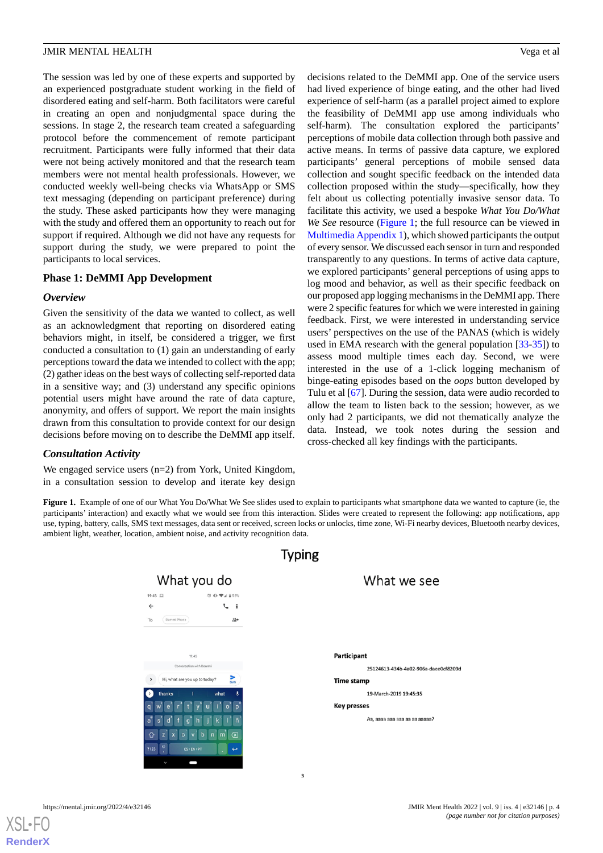The session was led by one of these experts and supported by an experienced postgraduate student working in the field of disordered eating and self-harm. Both facilitators were careful in creating an open and nonjudgmental space during the sessions. In stage 2, the research team created a safeguarding protocol before the commencement of remote participant recruitment. Participants were fully informed that their data were not being actively monitored and that the research team members were not mental health professionals. However, we conducted weekly well-being checks via WhatsApp or SMS text messaging (depending on participant preference) during the study. These asked participants how they were managing with the study and offered them an opportunity to reach out for support if required. Although we did not have any requests for support during the study, we were prepared to point the participants to local services.

## **Phase 1: DeMMI App Development**

#### *Overview*

Given the sensitivity of the data we wanted to collect, as well as an acknowledgment that reporting on disordered eating behaviors might, in itself, be considered a trigger, we first conducted a consultation to (1) gain an understanding of early perceptions toward the data we intended to collect with the app; (2) gather ideas on the best ways of collecting self-reported data in a sensitive way; and (3) understand any specific opinions potential users might have around the rate of data capture, anonymity, and offers of support. We report the main insights drawn from this consultation to provide context for our design decisions before moving on to describe the DeMMI app itself.

## <span id="page-3-0"></span>*Consultation Activity*

We engaged service users (n=2) from York, United Kingdom, in a consultation session to develop and iterate key design

**Figure 1.** Example of one of our What You Do/What We See slides used to explain to participants what smartphone data we wanted to capture (ie, the participants' interaction) and exactly what we would see from this interaction. Slides were created to represent the following: app notifications, app use, typing, battery, calls, SMS text messages, data sent or received, screen locks or unlocks, time zone, Wi-Fi nearby devices, Bluetooth nearby devices, ambient light, weather, location, ambient noise, and activity recognition data.

 $\overline{\mathbf{3}}$ 



# Typing

Participant 25124613-434b-4a02-906a-daee0cf8209d **Time stamp** 19-March-2019 19:45:35 **Key presses** Aa, aaaa aaa aaa aa aa aaaaa?

What we see

decisions related to the DeMMI app. One of the service users had lived experience of binge eating, and the other had lived experience of self-harm (as a parallel project aimed to explore the feasibility of DeMMI app use among individuals who self-harm). The consultation explored the participants' perceptions of mobile data collection through both passive and active means. In terms of passive data capture, we explored participants' general perceptions of mobile sensed data collection and sought specific feedback on the intended data collection proposed within the study—specifically, how they felt about us collecting potentially invasive sensor data. To facilitate this activity, we used a bespoke *What You Do/What We See* resource ([Figure 1;](#page-3-0) the full resource can be viewed in [Multimedia Appendix 1](#page-15-8)), which showed participants the output of every sensor. We discussed each sensor in turn and responded transparently to any questions. In terms of active data capture, we explored participants' general perceptions of using apps to log mood and behavior, as well as their specific feedback on our proposed app logging mechanisms in the DeMMI app. There were 2 specific features for which we were interested in gaining feedback. First, we were interested in understanding service users' perspectives on the use of the PANAS (which is widely used in EMA research with the general population [\[33](#page-17-1)-[35\]](#page-17-3)) to assess mood multiple times each day. Second, we were interested in the use of a 1-click logging mechanism of binge-eating episodes based on the *oops* button developed by Tulu et al [\[67](#page-18-9)]. During the session, data were audio recorded to allow the team to listen back to the session; however, as we only had 2 participants, we did not thematically analyze the data. Instead, we took notes during the session and cross-checked all key findings with the participants.

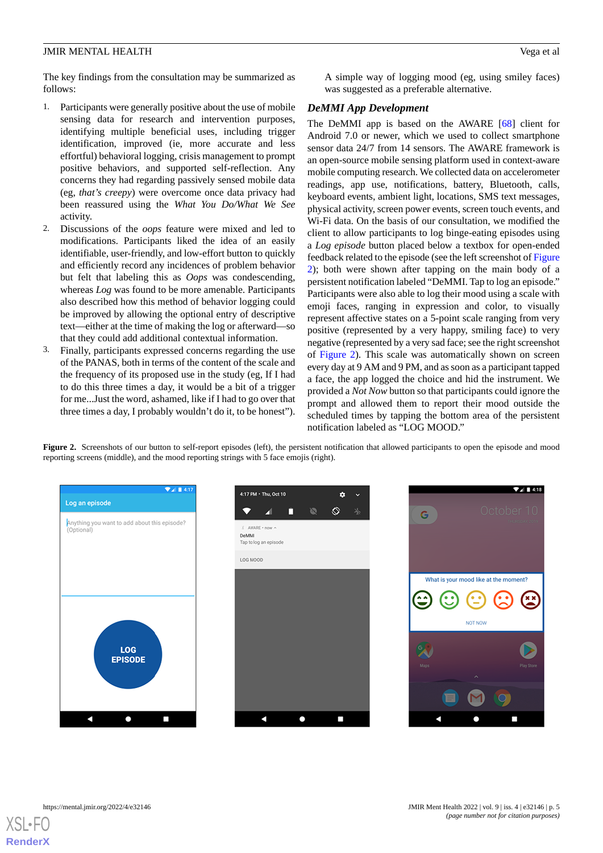The key findings from the consultation may be summarized as follows:

- 1. Participants were generally positive about the use of mobile sensing data for research and intervention purposes, identifying multiple beneficial uses, including trigger identification, improved (ie, more accurate and less effortful) behavioral logging, crisis management to prompt positive behaviors, and supported self-reflection. Any concerns they had regarding passively sensed mobile data (eg, *that's creepy*) were overcome once data privacy had been reassured using the *What You Do/What We See* activity.
- 2. Discussions of the *oops* feature were mixed and led to modifications. Participants liked the idea of an easily identifiable, user-friendly, and low-effort button to quickly and efficiently record any incidences of problem behavior but felt that labeling this as *Oops* was condescending, whereas *Log* was found to be more amenable. Participants also described how this method of behavior logging could be improved by allowing the optional entry of descriptive text—either at the time of making the log or afterward—so that they could add additional contextual information.
- 3. Finally, participants expressed concerns regarding the use of the PANAS, both in terms of the content of the scale and the frequency of its proposed use in the study (eg, If I had to do this three times a day, it would be a bit of a trigger for me...Just the word, ashamed, like if I had to go over that three times a day, I probably wouldn't do it, to be honest").

A simple way of logging mood (eg, using smiley faces) was suggested as a preferable alternative.

## *DeMMI App Development*

The DeMMI app is based on the AWARE [[68\]](#page-18-10) client for Android 7.0 or newer, which we used to collect smartphone sensor data 24/7 from 14 sensors. The AWARE framework is an open-source mobile sensing platform used in context-aware mobile computing research. We collected data on accelerometer readings, app use, notifications, battery, Bluetooth, calls, keyboard events, ambient light, locations, SMS text messages, physical activity, screen power events, screen touch events, and Wi-Fi data. On the basis of our consultation, we modified the client to allow participants to log binge-eating episodes using a *Log episode* button placed below a textbox for open-ended feedback related to the episode (see the left screenshot of [Figure](#page-4-0) [2\)](#page-4-0); both were shown after tapping on the main body of a persistent notification labeled "DeMMI. Tap to log an episode." Participants were also able to log their mood using a scale with emoji faces, ranging in expression and color, to visually represent affective states on a 5-point scale ranging from very positive (represented by a very happy, smiling face) to very negative (represented by a very sad face; see the right screenshot of [Figure 2\)](#page-4-0). This scale was automatically shown on screen every day at 9 AM and 9 PM, and as soon as a participant tapped a face, the app logged the choice and hid the instrument. We provided a *Not Now* button so that participants could ignore the prompt and allowed them to report their mood outside the scheduled times by tapping the bottom area of the persistent notification labeled as "LOG MOOD."

<span id="page-4-0"></span>Figure 2. Screenshots of our button to self-report episodes (left), the persistent notification that allowed participants to open the episode and mood reporting screens (middle), and the mood reporting strings with 5 face emojis (right).



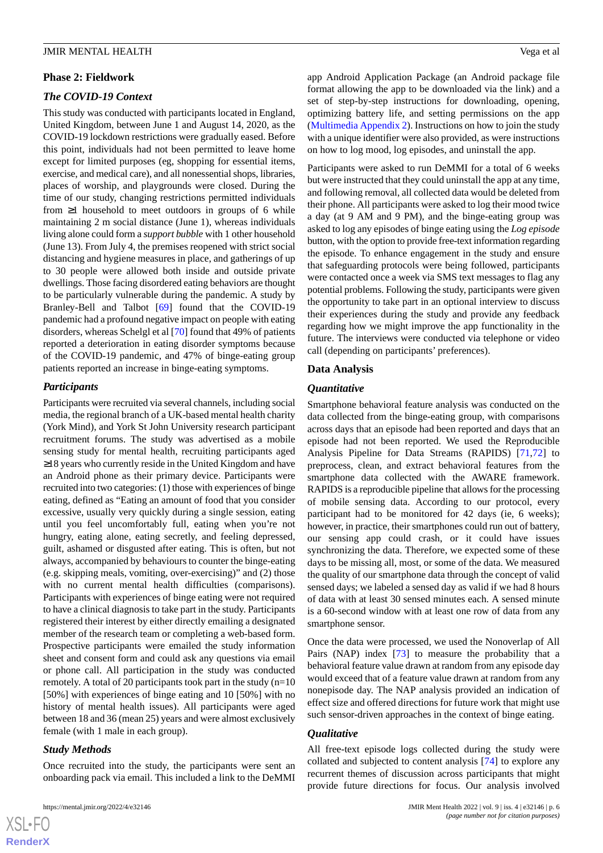## **Phase 2: Fieldwork**

## *The COVID-19 Context*

This study was conducted with participants located in England, United Kingdom, between June 1 and August 14, 2020, as the COVID-19 lockdown restrictions were gradually eased. Before this point, individuals had not been permitted to leave home except for limited purposes (eg, shopping for essential items, exercise, and medical care), and all nonessential shops, libraries, places of worship, and playgrounds were closed. During the time of our study, changing restrictions permitted individuals from ≥1 household to meet outdoors in groups of 6 while maintaining 2 m social distance (June 1), whereas individuals living alone could form a *support bubble* with 1 other household (June 13). From July 4, the premises reopened with strict social distancing and hygiene measures in place, and gatherings of up to 30 people were allowed both inside and outside private dwellings. Those facing disordered eating behaviors are thought to be particularly vulnerable during the pandemic. A study by Branley-Bell and Talbot [[69\]](#page-18-11) found that the COVID-19 pandemic had a profound negative impact on people with eating disorders, whereas Schelgl et al [\[70](#page-18-12)] found that 49% of patients reported a deterioration in eating disorder symptoms because of the COVID-19 pandemic, and 47% of binge-eating group patients reported an increase in binge-eating symptoms.

## *Participants*

Participants were recruited via several channels, including social media, the regional branch of a UK-based mental health charity (York Mind), and York St John University research participant recruitment forums. The study was advertised as a mobile sensing study for mental health, recruiting participants aged ≥18 years who currently reside in the United Kingdom and have an Android phone as their primary device. Participants were recruited into two categories: (1) those with experiences of binge eating, defined as "Eating an amount of food that you consider excessive, usually very quickly during a single session, eating until you feel uncomfortably full, eating when you're not hungry, eating alone, eating secretly, and feeling depressed, guilt, ashamed or disgusted after eating. This is often, but not always, accompanied by behaviours to counter the binge-eating (e.g. skipping meals, vomiting, over-exercising)" and (2) those with no current mental health difficulties (comparisons). Participants with experiences of binge eating were not required to have a clinical diagnosis to take part in the study. Participants registered their interest by either directly emailing a designated member of the research team or completing a web-based form. Prospective participants were emailed the study information sheet and consent form and could ask any questions via email or phone call. All participation in the study was conducted remotely. A total of 20 participants took part in the study (n=10 [50%] with experiences of binge eating and 10 [50%] with no history of mental health issues). All participants were aged between 18 and 36 (mean 25) years and were almost exclusively female (with 1 male in each group).

## *Study Methods*

Once recruited into the study, the participants were sent an onboarding pack via email. This included a link to the DeMMI

app Android Application Package (an Android package file format allowing the app to be downloaded via the link) and a set of step-by-step instructions for downloading, opening, optimizing battery life, and setting permissions on the app ([Multimedia Appendix 2\)](#page-15-9). Instructions on how to join the study with a unique identifier were also provided, as were instructions on how to log mood, log episodes, and uninstall the app.

Participants were asked to run DeMMI for a total of 6 weeks but were instructed that they could uninstall the app at any time, and following removal, all collected data would be deleted from their phone. All participants were asked to log their mood twice a day (at 9 AM and 9 PM), and the binge-eating group was asked to log any episodes of binge eating using the *Log episode* button, with the option to provide free-text information regarding the episode. To enhance engagement in the study and ensure that safeguarding protocols were being followed, participants were contacted once a week via SMS text messages to flag any potential problems. Following the study, participants were given the opportunity to take part in an optional interview to discuss their experiences during the study and provide any feedback regarding how we might improve the app functionality in the future. The interviews were conducted via telephone or video call (depending on participants' preferences).

## **Data Analysis**

## *Quantitative*

Smartphone behavioral feature analysis was conducted on the data collected from the binge-eating group, with comparisons across days that an episode had been reported and days that an episode had not been reported. We used the Reproducible Analysis Pipeline for Data Streams (RAPIDS) [[71,](#page-18-13)[72](#page-18-14)] to preprocess, clean, and extract behavioral features from the smartphone data collected with the AWARE framework. RAPIDS is a reproducible pipeline that allows for the processing of mobile sensing data. According to our protocol, every participant had to be monitored for 42 days (ie, 6 weeks); however, in practice, their smartphones could run out of battery, our sensing app could crash, or it could have issues synchronizing the data. Therefore, we expected some of these days to be missing all, most, or some of the data. We measured the quality of our smartphone data through the concept of valid sensed days; we labeled a sensed day as valid if we had 8 hours of data with at least 30 sensed minutes each. A sensed minute is a 60-second window with at least one row of data from any smartphone sensor.

Once the data were processed, we used the Nonoverlap of All Pairs (NAP) index [\[73](#page-19-0)] to measure the probability that a behavioral feature value drawn at random from any episode day would exceed that of a feature value drawn at random from any nonepisode day. The NAP analysis provided an indication of effect size and offered directions for future work that might use such sensor-driven approaches in the context of binge eating.

## *Qualitative*

All free-text episode logs collected during the study were collated and subjected to content analysis [\[74](#page-19-1)] to explore any recurrent themes of discussion across participants that might provide future directions for focus. Our analysis involved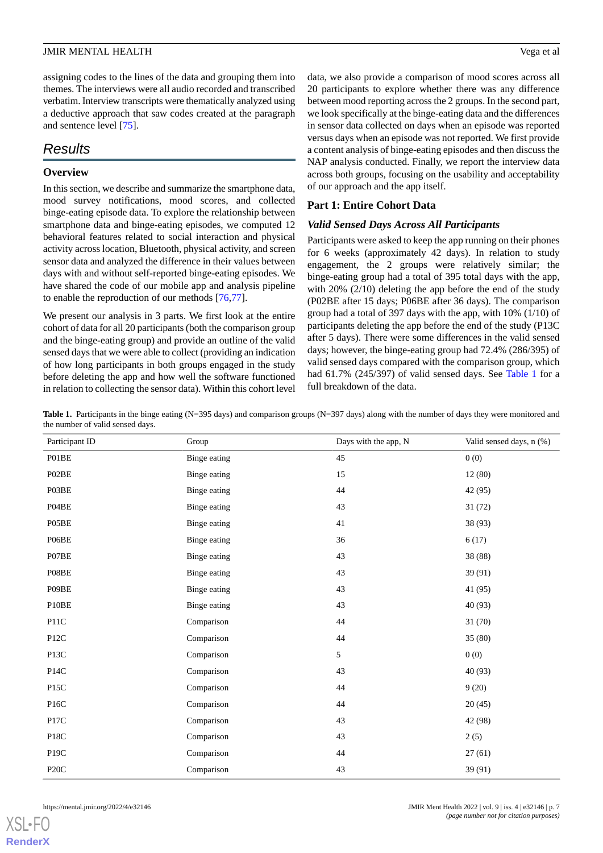assigning codes to the lines of the data and grouping them into themes. The interviews were all audio recorded and transcribed verbatim. Interview transcripts were thematically analyzed using a deductive approach that saw codes created at the paragraph and sentence level [\[75](#page-19-2)].

# *Results*

## **Overview**

In this section, we describe and summarize the smartphone data, mood survey notifications, mood scores, and collected binge-eating episode data. To explore the relationship between smartphone data and binge-eating episodes, we computed 12 behavioral features related to social interaction and physical activity across location, Bluetooth, physical activity, and screen sensor data and analyzed the difference in their values between days with and without self-reported binge-eating episodes. We have shared the code of our mobile app and analysis pipeline to enable the reproduction of our methods [\[76](#page-19-3),[77\]](#page-19-4).

We present our analysis in 3 parts. We first look at the entire cohort of data for all 20 participants (both the comparison group and the binge-eating group) and provide an outline of the valid sensed days that we were able to collect (providing an indication of how long participants in both groups engaged in the study before deleting the app and how well the software functioned in relation to collecting the sensor data). Within this cohort level

data, we also provide a comparison of mood scores across all 20 participants to explore whether there was any difference between mood reporting across the 2 groups. In the second part, we look specifically at the binge-eating data and the differences in sensor data collected on days when an episode was reported versus days when an episode was not reported. We first provide a content analysis of binge-eating episodes and then discuss the NAP analysis conducted. Finally, we report the interview data across both groups, focusing on the usability and acceptability of our approach and the app itself.

## **Part 1: Entire Cohort Data**

## *Valid Sensed Days Across All Participants*

Participants were asked to keep the app running on their phones for 6 weeks (approximately 42 days). In relation to study engagement, the 2 groups were relatively similar; the binge-eating group had a total of 395 total days with the app, with 20% (2/10) deleting the app before the end of the study (P02BE after 15 days; P06BE after 36 days). The comparison group had a total of 397 days with the app, with 10% (1/10) of participants deleting the app before the end of the study (P13C after 5 days). There were some differences in the valid sensed days; however, the binge-eating group had 72.4% (286/395) of valid sensed days compared with the comparison group, which had 61.7% (245/397) of valid sensed days. See [Table 1](#page-6-0) for a full breakdown of the data.

<span id="page-6-0"></span>Table 1. Participants in the binge eating (N=395 days) and comparison groups (N=397 days) along with the number of days they were monitored and the number of valid sensed days.

| Participant ID           | Group               | Days with the app, N | Valid sensed days, n (%) |
|--------------------------|---------------------|----------------------|--------------------------|
| P01BE                    | <b>Binge eating</b> | 45                   | 0(0)                     |
| P02BE                    | Binge eating        | 15                   | 12(80)                   |
| P03BE                    | Binge eating        | 44                   | 42 (95)                  |
| P04BE                    | <b>Binge eating</b> | 43                   | 31(72)                   |
| P05BE                    | <b>Binge eating</b> | 41                   | 38 (93)                  |
| P06BE                    | <b>Binge eating</b> | 36                   | 6(17)                    |
| P07BE                    | Binge eating        | 43                   | 38 (88)                  |
| P08BE                    | Binge eating        | 43                   | 39 (91)                  |
| P09BE                    | <b>Binge eating</b> | 43                   | 41 (95)                  |
| P10BE                    | <b>Binge eating</b> | 43                   | 40 (93)                  |
| P <sub>1</sub> 1C        | Comparison          | 44                   | 31(70)                   |
| P <sub>12</sub> C        | Comparison          | 44                   | 35(80)                   |
| P <sub>13</sub> C        | Comparison          | 5                    | 0(0)                     |
| $\mathbf{P}14\mathbf{C}$ | Comparison          | 43                   | 40 (93)                  |
| P <sub>15</sub> C        | Comparison          | 44                   | 9(20)                    |
| P <sub>16</sub> C        | Comparison          | 44                   | 20(45)                   |
| P17C                     | Comparison          | 43                   | 42 (98)                  |
| $\mathbf{P}18\mathbf{C}$ | Comparison          | 43                   | 2(5)                     |
| P19C                     | Comparison          | 44                   | 27(61)                   |
| ${\bf P20C}$             | Comparison          | 43                   | 39 (91)                  |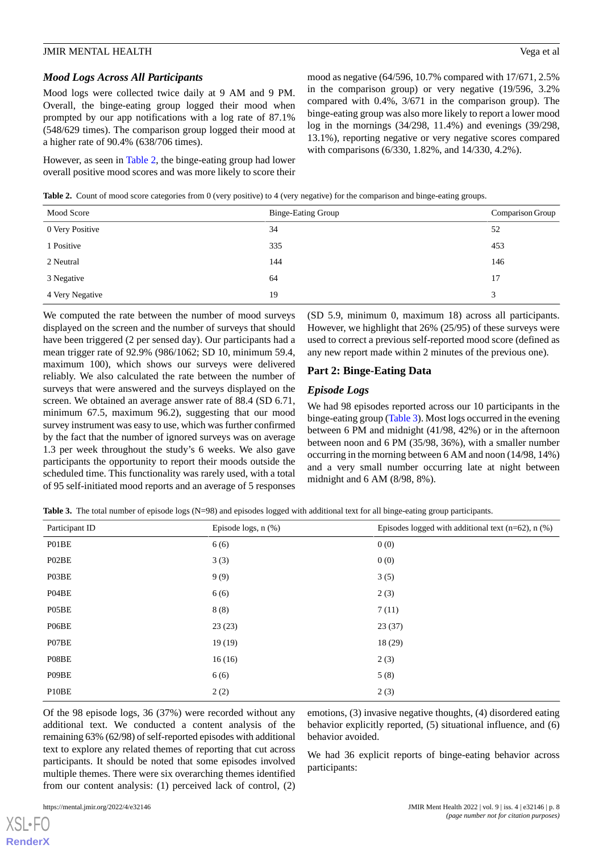#### *Mood Logs Across All Participants*

Mood logs were collected twice daily at 9 AM and 9 PM. Overall, the binge-eating group logged their mood when prompted by our app notifications with a log rate of 87.1% (548/629 times). The comparison group logged their mood at a higher rate of 90.4% (638/706 times).

<span id="page-7-0"></span>However, as seen in [Table 2](#page-7-0), the binge-eating group had lower overall positive mood scores and was more likely to score their mood as negative (64/596, 10.7% compared with 17/671, 2.5% in the comparison group) or very negative (19/596, 3.2% compared with 0.4%, 3/671 in the comparison group). The binge-eating group was also more likely to report a lower mood log in the mornings (34/298, 11.4%) and evenings (39/298, 13.1%), reporting negative or very negative scores compared with comparisons (6/330, 1.82%, and 14/330, 4.2%).

**Table 2.** Count of mood score categories from 0 (very positive) to 4 (very negative) for the comparison and binge-eating groups.

| Mood Score      | <b>Binge-Eating Group</b> | Comparison Group |
|-----------------|---------------------------|------------------|
| 0 Very Positive | 34                        | 52               |
| 1 Positive      | 335                       | 453              |
| 2 Neutral       | 144                       | 146              |
| 3 Negative      | 64                        | 17               |
| 4 Very Negative | 19                        |                  |

We computed the rate between the number of mood surveys displayed on the screen and the number of surveys that should have been triggered (2 per sensed day). Our participants had a mean trigger rate of 92.9% (986/1062; SD 10, minimum 59.4, maximum 100), which shows our surveys were delivered reliably. We also calculated the rate between the number of surveys that were answered and the surveys displayed on the screen. We obtained an average answer rate of 88.4 (SD 6.71, minimum 67.5, maximum 96.2), suggesting that our mood survey instrument was easy to use, which was further confirmed by the fact that the number of ignored surveys was on average 1.3 per week throughout the study's 6 weeks. We also gave participants the opportunity to report their moods outside the scheduled time. This functionality was rarely used, with a total of 95 self-initiated mood reports and an average of 5 responses

(SD 5.9, minimum 0, maximum 18) across all participants. However, we highlight that 26% (25/95) of these surveys were used to correct a previous self-reported mood score (defined as any new report made within 2 minutes of the previous one).

## **Part 2: Binge-Eating Data**

#### *Episode Logs*

We had 98 episodes reported across our 10 participants in the binge-eating group ([Table 3](#page-7-1)). Most logs occurred in the evening between 6 PM and midnight (41/98, 42%) or in the afternoon between noon and 6 PM (35/98, 36%), with a smaller number occurring in the morning between 6 AM and noon (14/98, 14%) and a very small number occurring late at night between midnight and 6 AM (8/98, 8%).

<span id="page-7-1"></span>**Table 3.** The total number of episode logs (N=98) and episodes logged with additional text for all binge-eating group participants.

| Participant ID | Episode logs, $n$ $(\%)$ | Episodes logged with additional text ( $n=62$ ), $n$ (%) |
|----------------|--------------------------|----------------------------------------------------------|
| P01BE          | 6(6)                     | 0(0)                                                     |
| P02BE          | 3(3)                     | 0(0)                                                     |
| P03BE          | 9(9)                     | 3(5)                                                     |
| P04BE          | 6(6)                     | 2(3)                                                     |
| P05BE          | 8(8)                     | 7(11)                                                    |
| P06BE          | 23(23)                   | 23(37)                                                   |
| P07BE          | 19(19)                   | 18 (29)                                                  |
| P08BE          | 16(16)                   | 2(3)                                                     |
| P09BE          | 6(6)                     | 5(8)                                                     |
| P10BE          | 2(2)                     | 2(3)                                                     |

Of the 98 episode logs, 36 (37%) were recorded without any additional text. We conducted a content analysis of the remaining 63% (62/98) of self-reported episodes with additional text to explore any related themes of reporting that cut across participants. It should be noted that some episodes involved multiple themes. There were six overarching themes identified from our content analysis: (1) perceived lack of control, (2)

emotions, (3) invasive negative thoughts, (4) disordered eating behavior explicitly reported, (5) situational influence, and (6) behavior avoided.

We had 36 explicit reports of binge-eating behavior across participants: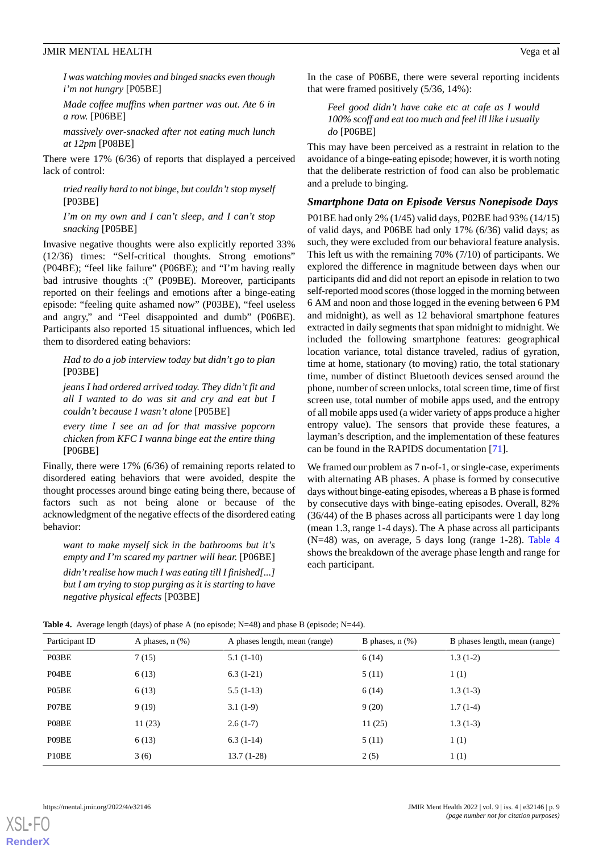*I was watching movies and binged snacks even though i'm not hungry* [P05BE]

*Made coffee muffins when partner was out. Ate 6 in a row.* [P06BE]

*massively over-snacked after not eating much lunch at 12pm* [P08BE]

There were 17% (6/36) of reports that displayed a perceived lack of control:

*tried really hard to not binge, but couldn't stop myself* [P03BE]

*I'm on my own and I can't sleep, and I can't stop snacking* [P05BE]

Invasive negative thoughts were also explicitly reported 33% (12/36) times: "Self-critical thoughts. Strong emotions" (P04BE); "feel like failure" (P06BE); and "I'm having really bad intrusive thoughts :(" (P09BE). Moreover, participants reported on their feelings and emotions after a binge-eating episode: "feeling quite ashamed now" (P03BE), "feel useless and angry," and "Feel disappointed and dumb" (P06BE). Participants also reported 15 situational influences, which led them to disordered eating behaviors:

*Had to do a job interview today but didn't go to plan* [P03BE]

*jeans I had ordered arrived today. They didn't fit and all I wanted to do was sit and cry and eat but I couldn't because I wasn't alone* [P05BE]

*every time I see an ad for that massive popcorn chicken from KFC I wanna binge eat the entire thing* [P06BE]

Finally, there were 17% (6/36) of remaining reports related to disordered eating behaviors that were avoided, despite the thought processes around binge eating being there, because of factors such as not being alone or because of the acknowledgment of the negative effects of the disordered eating behavior:

<span id="page-8-0"></span>*want to make myself sick in the bathrooms but it's empty and I'm scared my partner will hear.* [P06BE] *didn't realise how much I was eating till I finished[...] but I am trying to stop purging as it is starting to have negative physical effects* [P03BE]

In the case of P06BE, there were several reporting incidents that were framed positively (5/36, 14%):

*Feel good didn't have cake etc at cafe as I would 100% scoff and eat too much and feel ill like i usually do* [P06BE]

This may have been perceived as a restraint in relation to the avoidance of a binge-eating episode; however, it is worth noting that the deliberate restriction of food can also be problematic and a prelude to binging.

#### *Smartphone Data on Episode Versus Nonepisode Days*

P01BE had only 2% (1/45) valid days, P02BE had 93% (14/15) of valid days, and P06BE had only 17% (6/36) valid days; as such, they were excluded from our behavioral feature analysis. This left us with the remaining 70% (7/10) of participants. We explored the difference in magnitude between days when our participants did and did not report an episode in relation to two self-reported mood scores (those logged in the morning between 6 AM and noon and those logged in the evening between 6 PM and midnight), as well as 12 behavioral smartphone features extracted in daily segments that span midnight to midnight. We included the following smartphone features: geographical location variance, total distance traveled, radius of gyration, time at home, stationary (to moving) ratio, the total stationary time, number of distinct Bluetooth devices sensed around the phone, number of screen unlocks, total screen time, time of first screen use, total number of mobile apps used, and the entropy of all mobile apps used (a wider variety of apps produce a higher entropy value). The sensors that provide these features, a layman's description, and the implementation of these features can be found in the RAPIDS documentation [\[71](#page-18-13)].

We framed our problem as 7 n-of-1, or single-case, experiments with alternating AB phases. A phase is formed by consecutive days without binge-eating episodes, whereas a B phase is formed by consecutive days with binge-eating episodes. Overall, 82% (36/44) of the B phases across all participants were 1 day long (mean 1.3, range 1-4 days). The A phase across all participants (N=48) was, on average, 5 days long (range 1-28). [Table 4](#page-8-0) shows the breakdown of the average phase length and range for each participant.

| Participant ID<br>A phases, $n$ $(\%)$ |        | A phases length, mean (range) | B phases, $n$ $(\%)$ | B phases length, mean (range) |  |
|----------------------------------------|--------|-------------------------------|----------------------|-------------------------------|--|
| P03BE                                  | 7(15)  | $5.1(1-10)$                   | 6(14)                | $1.3(1-2)$                    |  |
| P04BE                                  | 6(13)  | $6.3(1-21)$                   | 5(11)                | 1(1)                          |  |
| P05BE                                  | 6(13)  | $5.5(1-13)$                   | 6(14)                | $1.3(1-3)$                    |  |
| P07BE                                  | 9(19)  | $3.1(1-9)$                    | 9(20)                | $1.7(1-4)$                    |  |
| P08BE                                  | 11(23) | $2.6(1-7)$                    | 11(25)               | $1.3(1-3)$                    |  |
| P09BE                                  | 6(13)  | $6.3(1-14)$                   | 5(11)                | 1(1)                          |  |
| P <sub>10</sub> BE                     | 3(6)   | $13.7(1-28)$                  | 2(5)                 | 1(1)                          |  |

**Table 4.** Average length (days) of phase A (no episode; N=48) and phase B (episode; N=44).



**[RenderX](http://www.renderx.com/)**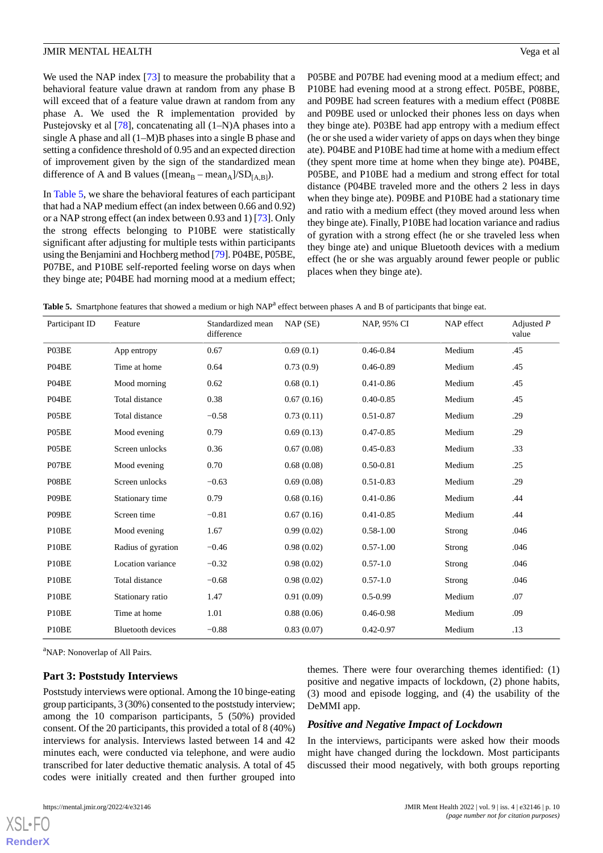We used the NAP index [\[73](#page-19-0)] to measure the probability that a behavioral feature value drawn at random from any phase B will exceed that of a feature value drawn at random from any phase A. We used the R implementation provided by Pustejovsky et al [\[78](#page-19-5)], concatenating all (1–N)A phases into a single A phase and all (1–M)B phases into a single B phase and setting a confidence threshold of 0.95 and an expected direction of improvement given by the sign of the standardized mean difference of A and B values ( $[\text{mean}_B - \text{mean}_A]/SD_{[A,B]})$ .

In [Table 5](#page-9-0), we share the behavioral features of each participant that had a NAP medium effect (an index between 0.66 and 0.92) or a NAP strong effect (an index between 0.93 and 1) [\[73](#page-19-0)]. Only the strong effects belonging to P10BE were statistically significant after adjusting for multiple tests within participants using the Benjamini and Hochberg method [\[79\]](#page-19-6). P04BE, P05BE, P07BE, and P10BE self-reported feeling worse on days when they binge ate; P04BE had morning mood at a medium effect;

P05BE and P07BE had evening mood at a medium effect; and P10BE had evening mood at a strong effect. P05BE, P08BE, and P09BE had screen features with a medium effect (P08BE and P09BE used or unlocked their phones less on days when they binge ate). P03BE had app entropy with a medium effect (he or she used a wider variety of apps on days when they binge ate). P04BE and P10BE had time at home with a medium effect (they spent more time at home when they binge ate). P04BE, P05BE, and P10BE had a medium and strong effect for total distance (P04BE traveled more and the others 2 less in days when they binge ate). P09BE and P10BE had a stationary time and ratio with a medium effect (they moved around less when they binge ate). Finally, P10BE had location variance and radius of gyration with a strong effect (he or she traveled less when they binge ate) and unique Bluetooth devices with a medium effect (he or she was arguably around fewer people or public places when they binge ate).

<span id="page-9-0"></span>

| Table 5. Smartphone features that showed a medium or high NAP <sup>a</sup> effect between phases A and B of participants that binge eat. |  |
|------------------------------------------------------------------------------------------------------------------------------------------|--|
|------------------------------------------------------------------------------------------------------------------------------------------|--|

| Participant ID | Feature                  | Standardized mean<br>difference | NAP(SE)    | NAP, 95% CI   | NAP effect | Adjusted $P$<br>value |
|----------------|--------------------------|---------------------------------|------------|---------------|------------|-----------------------|
| P03BE          | App entropy              | 0.67                            | 0.69(0.1)  | $0.46 - 0.84$ | Medium     | .45                   |
| P04BE          | Time at home             | 0.64                            | 0.73(0.9)  | $0.46 - 0.89$ | Medium     | .45                   |
| P04BE          | Mood morning             | 0.62                            | 0.68(0.1)  | $0.41 - 0.86$ | Medium     | .45                   |
| P04BE          | Total distance           | 0.38                            | 0.67(0.16) | $0.40 - 0.85$ | Medium     | .45                   |
| P05BE          | Total distance           | $-0.58$                         | 0.73(0.11) | $0.51 - 0.87$ | Medium     | .29                   |
| P05BE          | Mood evening             | 0.79                            | 0.69(0.13) | $0.47 - 0.85$ | Medium     | .29                   |
| P05BE          | Screen unlocks           | 0.36                            | 0.67(0.08) | $0.45 - 0.83$ | Medium     | .33                   |
| P07BE          | Mood evening             | 0.70                            | 0.68(0.08) | $0.50 - 0.81$ | Medium     | .25                   |
| P08BE          | Screen unlocks           | $-0.63$                         | 0.69(0.08) | $0.51 - 0.83$ | Medium     | .29                   |
| P09BE          | Stationary time          | 0.79                            | 0.68(0.16) | $0.41 - 0.86$ | Medium     | .44                   |
| P09BE          | Screen time              | $-0.81$                         | 0.67(0.16) | $0.41 - 0.85$ | Medium     | .44                   |
| P10BE          | Mood evening             | 1.67                            | 0.99(0.02) | $0.58 - 1.00$ | Strong     | .046                  |
| P10BE          | Radius of gyration       | $-0.46$                         | 0.98(0.02) | $0.57 - 1.00$ | Strong     | .046                  |
| P10BE          | Location variance        | $-0.32$                         | 0.98(0.02) | $0.57 - 1.0$  | Strong     | .046                  |
| P10BE          | Total distance           | $-0.68$                         | 0.98(0.02) | $0.57 - 1.0$  | Strong     | .046                  |
| P10BE          | Stationary ratio         | 1.47                            | 0.91(0.09) | $0.5 - 0.99$  | Medium     | .07                   |
| P10BE          | Time at home             | 1.01                            | 0.88(0.06) | $0.46 - 0.98$ | Medium     | .09                   |
| P10BE          | <b>Bluetooth</b> devices | $-0.88$                         | 0.83(0.07) | $0.42 - 0.97$ | Medium     | .13                   |

<sup>a</sup>NAP: Nonoverlap of All Pairs.

## **Part 3: Poststudy Interviews**

Poststudy interviews were optional. Among the 10 binge-eating group participants, 3 (30%) consented to the poststudy interview; among the 10 comparison participants, 5 (50%) provided consent. Of the 20 participants, this provided a total of 8 (40%) interviews for analysis. Interviews lasted between 14 and 42 minutes each, were conducted via telephone, and were audio transcribed for later deductive thematic analysis. A total of 45 codes were initially created and then further grouped into

themes. There were four overarching themes identified: (1) positive and negative impacts of lockdown, (2) phone habits, (3) mood and episode logging, and (4) the usability of the DeMMI app.

## *Positive and Negative Impact of Lockdown*

In the interviews, participants were asked how their moods might have changed during the lockdown. Most participants discussed their mood negatively, with both groups reporting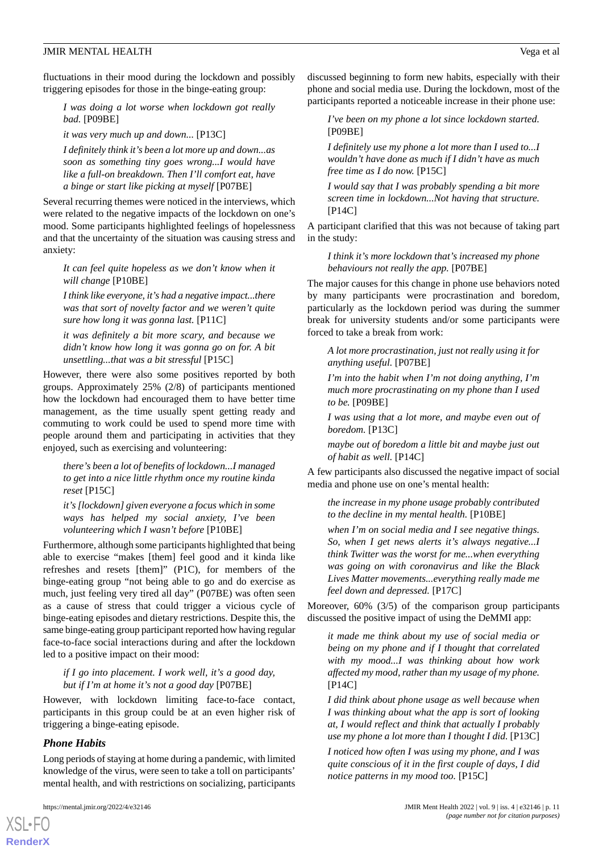fluctuations in their mood during the lockdown and possibly triggering episodes for those in the binge-eating group:

*I was doing a lot worse when lockdown got really bad.* [P09BE]

*it was very much up and down...* [P13C]

*I definitely think it's been a lot more up and down...as soon as something tiny goes wrong...I would have like a full-on breakdown. Then I'll comfort eat, have a binge or start like picking at myself* [P07BE]

Several recurring themes were noticed in the interviews, which were related to the negative impacts of the lockdown on one's mood. Some participants highlighted feelings of hopelessness and that the uncertainty of the situation was causing stress and anxiety:

*It can feel quite hopeless as we don't know when it will change* [P10BE]

*I think like everyone, it's had a negative impact...there was that sort of novelty factor and we weren't quite sure how long it was gonna last.* [P11C]

*it was definitely a bit more scary, and because we didn't know how long it was gonna go on for. A bit unsettling...that was a bit stressful* [P15C]

However, there were also some positives reported by both groups. Approximately 25% (2/8) of participants mentioned how the lockdown had encouraged them to have better time management, as the time usually spent getting ready and commuting to work could be used to spend more time with people around them and participating in activities that they enjoyed, such as exercising and volunteering:

*there's been a lot of benefits of lockdown...I managed to get into a nice little rhythm once my routine kinda reset* [P15C]

*it's [lockdown] given everyone a focus which in some ways has helped my social anxiety, I've been volunteering which I wasn't before* [P10BE]

Furthermore, although some participants highlighted that being able to exercise "makes [them] feel good and it kinda like refreshes and resets [them]" (P1C), for members of the binge-eating group "not being able to go and do exercise as much, just feeling very tired all day" (P07BE) was often seen as a cause of stress that could trigger a vicious cycle of binge-eating episodes and dietary restrictions. Despite this, the same binge-eating group participant reported how having regular face-to-face social interactions during and after the lockdown led to a positive impact on their mood:

*if I go into placement. I work well, it's a good day, but if I'm at home it's not a good day* [P07BE]

However, with lockdown limiting face-to-face contact, participants in this group could be at an even higher risk of triggering a binge-eating episode.

## *Phone Habits*

[XSL](http://www.w3.org/Style/XSL)•FO **[RenderX](http://www.renderx.com/)**

Long periods of staying at home during a pandemic, with limited knowledge of the virus, were seen to take a toll on participants' mental health, and with restrictions on socializing, participants

discussed beginning to form new habits, especially with their phone and social media use. During the lockdown, most of the participants reported a noticeable increase in their phone use:

*I've been on my phone a lot since lockdown started.* [P09BE]

*I definitely use my phone a lot more than I used to...I wouldn't have done as much if I didn't have as much free time as I do now.* [P15C]

*I would say that I was probably spending a bit more screen time in lockdown...Not having that structure.* [P14C]

A participant clarified that this was not because of taking part in the study:

*I think it's more lockdown that's increased my phone behaviours not really the app.* [P07BE]

The major causes for this change in phone use behaviors noted by many participants were procrastination and boredom, particularly as the lockdown period was during the summer break for university students and/or some participants were forced to take a break from work:

*A lot more procrastination, just not really using it for anything useful.* [P07BE]

*I'm into the habit when I'm not doing anything, I'm much more procrastinating on my phone than I used to be.* [P09BE]

*I was using that a lot more, and maybe even out of boredom.* [P13C]

*maybe out of boredom a little bit and maybe just out of habit as well.* [P14C]

A few participants also discussed the negative impact of social media and phone use on one's mental health:

*the increase in my phone usage probably contributed to the decline in my mental health.* [P10BE]

*when I'm on social media and I see negative things. So, when I get news alerts it's always negative...I think Twitter was the worst for me...when everything was going on with coronavirus and like the Black Lives Matter movements...everything really made me feel down and depressed.* [P17C]

Moreover, 60% (3/5) of the comparison group participants discussed the positive impact of using the DeMMI app:

*it made me think about my use of social media or being on my phone and if I thought that correlated with my mood...I was thinking about how work affected my mood, rather than my usage of my phone.* [P14C]

*I did think about phone usage as well because when I was thinking about what the app is sort of looking at, I would reflect and think that actually I probably use my phone a lot more than I thought I did.* [P13C]

*I noticed how often I was using my phone, and I was quite conscious of it in the first couple of days, I did notice patterns in my mood too.* [P15C]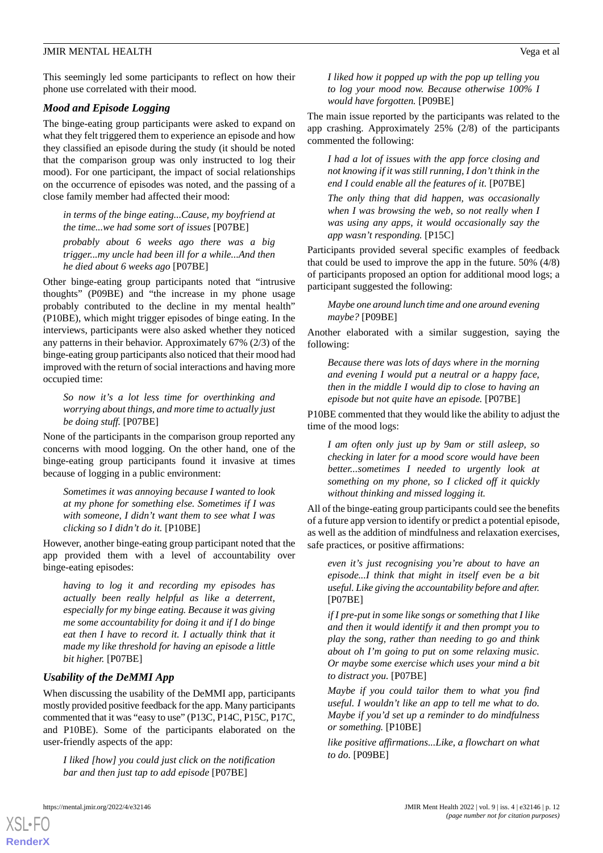This seemingly led some participants to reflect on how their phone use correlated with their mood.

## *Mood and Episode Logging*

The binge-eating group participants were asked to expand on what they felt triggered them to experience an episode and how they classified an episode during the study (it should be noted that the comparison group was only instructed to log their mood). For one participant, the impact of social relationships on the occurrence of episodes was noted, and the passing of a close family member had affected their mood:

*in terms of the binge eating...Cause, my boyfriend at the time...we had some sort of issues* [P07BE]

*probably about 6 weeks ago there was a big trigger...my uncle had been ill for a while...And then he died about 6 weeks ago* [P07BE]

Other binge-eating group participants noted that "intrusive thoughts" (P09BE) and "the increase in my phone usage probably contributed to the decline in my mental health" (P10BE), which might trigger episodes of binge eating. In the interviews, participants were also asked whether they noticed any patterns in their behavior. Approximately 67% (2/3) of the binge-eating group participants also noticed that their mood had improved with the return of social interactions and having more occupied time:

*So now it's a lot less time for overthinking and worrying about things, and more time to actually just be doing stuff.* [P07BE]

None of the participants in the comparison group reported any concerns with mood logging. On the other hand, one of the binge-eating group participants found it invasive at times because of logging in a public environment:

*Sometimes it was annoying because I wanted to look at my phone for something else. Sometimes if I was with someone, I didn't want them to see what I was clicking so I didn't do it.* [P10BE]

However, another binge-eating group participant noted that the app provided them with a level of accountability over binge-eating episodes:

*having to log it and recording my episodes has actually been really helpful as like a deterrent, especially for my binge eating. Because it was giving me some accountability for doing it and if I do binge eat then I have to record it. I actually think that it made my like threshold for having an episode a little bit higher.* [P07BE]

## *Usability of the DeMMI App*

When discussing the usability of the DeMMI app, participants mostly provided positive feedback for the app. Many participants commented that it was "easy to use" (P13C, P14C, P15C, P17C, and P10BE). Some of the participants elaborated on the user-friendly aspects of the app:

*I liked [how] you could just click on the notification bar and then just tap to add episode* [P07BE]

*I liked how it popped up with the pop up telling you to log your mood now. Because otherwise 100% I would have forgotten.* [P09BE]

The main issue reported by the participants was related to the app crashing. Approximately 25% (2/8) of the participants commented the following:

*I had a lot of issues with the app force closing and not knowing if it was still running, I don't think in the end I could enable all the features of it.* [P07BE]

*The only thing that did happen, was occasionally when I was browsing the web, so not really when I was using any apps, it would occasionally say the app wasn't responding.* [P15C]

Participants provided several specific examples of feedback that could be used to improve the app in the future. 50% (4/8) of participants proposed an option for additional mood logs; a participant suggested the following:

*Maybe one around lunch time and one around evening maybe?* [P09BE]

Another elaborated with a similar suggestion, saying the following:

*Because there was lots of days where in the morning and evening I would put a neutral or a happy face, then in the middle I would dip to close to having an episode but not quite have an episode.* [P07BE]

P10BE commented that they would like the ability to adjust the time of the mood logs:

*I am often only just up by 9am or still asleep, so checking in later for a mood score would have been better...sometimes I needed to urgently look at something on my phone, so I clicked off it quickly without thinking and missed logging it.*

All of the binge-eating group participants could see the benefits of a future app version to identify or predict a potential episode, as well as the addition of mindfulness and relaxation exercises, safe practices, or positive affirmations:

*even it's just recognising you're about to have an episode...I think that might in itself even be a bit useful. Like giving the accountability before and after.* [P07BE]

*if I pre-put in some like songs or something that I like and then it would identify it and then prompt you to play the song, rather than needing to go and think about oh I'm going to put on some relaxing music. Or maybe some exercise which uses your mind a bit to distract you.* [P07BE]

*Maybe if you could tailor them to what you find useful. I wouldn't like an app to tell me what to do. Maybe if you'd set up a reminder to do mindfulness or something.* [P10BE]

*like positive affirmations...Like, a flowchart on what to do.* [P09BE]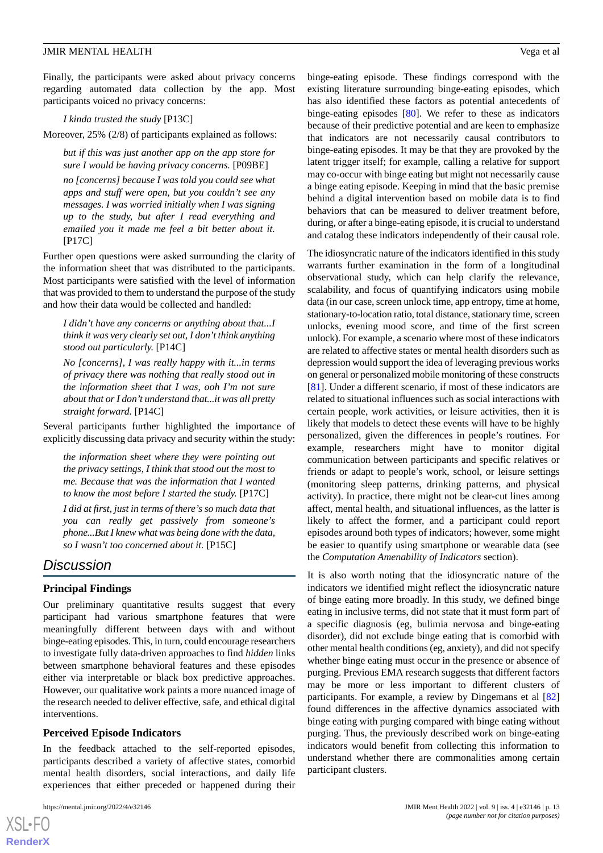Finally, the participants were asked about privacy concerns regarding automated data collection by the app. Most participants voiced no privacy concerns:

*I kinda trusted the study* [P13C]

Moreover, 25% (2/8) of participants explained as follows:

*but if this was just another app on the app store for sure I would be having privacy concerns.* [P09BE] *no [concerns] because I was told you could see what apps and stuff were open, but you couldn't see any messages. I was worried initially when I was signing up to the study, but after I read everything and emailed you it made me feel a bit better about it.* [P17C]

Further open questions were asked surrounding the clarity of the information sheet that was distributed to the participants. Most participants were satisfied with the level of information that was provided to them to understand the purpose of the study and how their data would be collected and handled:

*I didn't have any concerns or anything about that...I think it was very clearly set out, I don't think anything stood out particularly.* [P14C]

*No [concerns], I was really happy with it...in terms of privacy there was nothing that really stood out in the information sheet that I was, ooh I'm not sure about that or I don't understand that...it was all pretty straight forward.* [P14C]

Several participants further highlighted the importance of explicitly discussing data privacy and security within the study:

*the information sheet where they were pointing out the privacy settings, I think that stood out the most to me. Because that was the information that I wanted to know the most before I started the study.* [P17C]

*I did at first, just in terms of there's so much data that you can really get passively from someone's phone...But I knew what was being done with the data, so I wasn't too concerned about it.* [P15C]

## *Discussion*

#### **Principal Findings**

Our preliminary quantitative results suggest that every participant had various smartphone features that were meaningfully different between days with and without binge-eating episodes. This, in turn, could encourage researchers to investigate fully data-driven approaches to find *hidden* links between smartphone behavioral features and these episodes either via interpretable or black box predictive approaches. However, our qualitative work paints a more nuanced image of the research needed to deliver effective, safe, and ethical digital interventions.

#### **Perceived Episode Indicators**

In the feedback attached to the self-reported episodes, participants described a variety of affective states, comorbid mental health disorders, social interactions, and daily life experiences that either preceded or happened during their

binge-eating episode. These findings correspond with the existing literature surrounding binge-eating episodes, which has also identified these factors as potential antecedents of binge-eating episodes [[80\]](#page-19-7). We refer to these as indicators because of their predictive potential and are keen to emphasize that indicators are not necessarily causal contributors to binge-eating episodes. It may be that they are provoked by the latent trigger itself; for example, calling a relative for support may co-occur with binge eating but might not necessarily cause a binge eating episode. Keeping in mind that the basic premise behind a digital intervention based on mobile data is to find behaviors that can be measured to deliver treatment before, during, or after a binge-eating episode, it is crucial to understand and catalog these indicators independently of their causal role.

The idiosyncratic nature of the indicators identified in this study warrants further examination in the form of a longitudinal observational study, which can help clarify the relevance, scalability, and focus of quantifying indicators using mobile data (in our case, screen unlock time, app entropy, time at home, stationary-to-location ratio, total distance, stationary time, screen unlocks, evening mood score, and time of the first screen unlock). For example, a scenario where most of these indicators are related to affective states or mental health disorders such as depression would support the idea of leveraging previous works on general or personalized mobile monitoring of these constructs [[81\]](#page-19-8). Under a different scenario, if most of these indicators are related to situational influences such as social interactions with certain people, work activities, or leisure activities, then it is likely that models to detect these events will have to be highly personalized, given the differences in people's routines. For example, researchers might have to monitor digital communication between participants and specific relatives or friends or adapt to people's work, school, or leisure settings (monitoring sleep patterns, drinking patterns, and physical activity). In practice, there might not be clear-cut lines among affect, mental health, and situational influences, as the latter is likely to affect the former, and a participant could report episodes around both types of indicators; however, some might be easier to quantify using smartphone or wearable data (see the *Computation Amenability of Indicators* section).

It is also worth noting that the idiosyncratic nature of the indicators we identified might reflect the idiosyncratic nature of binge eating more broadly. In this study, we defined binge eating in inclusive terms, did not state that it must form part of a specific diagnosis (eg, bulimia nervosa and binge-eating disorder), did not exclude binge eating that is comorbid with other mental health conditions (eg, anxiety), and did not specify whether binge eating must occur in the presence or absence of purging. Previous EMA research suggests that different factors may be more or less important to different clusters of participants. For example, a review by Dingemans et al [\[82](#page-19-9)] found differences in the affective dynamics associated with binge eating with purging compared with binge eating without purging. Thus, the previously described work on binge-eating indicators would benefit from collecting this information to understand whether there are commonalities among certain participant clusters.

```
XSL•FO
RenderX
```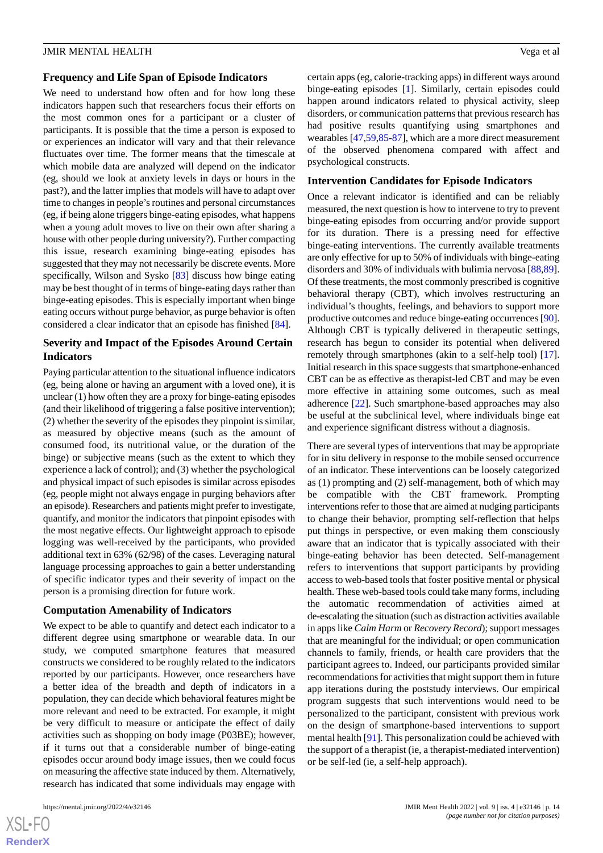#### **Frequency and Life Span of Episode Indicators**

We need to understand how often and for how long these indicators happen such that researchers focus their efforts on the most common ones for a participant or a cluster of participants. It is possible that the time a person is exposed to or experiences an indicator will vary and that their relevance fluctuates over time. The former means that the timescale at which mobile data are analyzed will depend on the indicator (eg, should we look at anxiety levels in days or hours in the past?), and the latter implies that models will have to adapt over time to changes in people's routines and personal circumstances (eg, if being alone triggers binge-eating episodes, what happens when a young adult moves to live on their own after sharing a house with other people during university?). Further compacting this issue, research examining binge-eating episodes has suggested that they may not necessarily be discrete events. More specifically, Wilson and Sysko [\[83](#page-19-10)] discuss how binge eating may be best thought of in terms of binge-eating days rather than binge-eating episodes. This is especially important when binge eating occurs without purge behavior, as purge behavior is often considered a clear indicator that an episode has finished [\[84](#page-19-11)].

## **Severity and Impact of the Episodes Around Certain Indicators**

Paying particular attention to the situational influence indicators (eg, being alone or having an argument with a loved one), it is unclear (1) how often they are a proxy for binge-eating episodes (and their likelihood of triggering a false positive intervention); (2) whether the severity of the episodes they pinpoint is similar, as measured by objective means (such as the amount of consumed food, its nutritional value, or the duration of the binge) or subjective means (such as the extent to which they experience a lack of control); and (3) whether the psychological and physical impact of such episodes is similar across episodes (eg, people might not always engage in purging behaviors after an episode). Researchers and patients might prefer to investigate, quantify, and monitor the indicators that pinpoint episodes with the most negative effects. Our lightweight approach to episode logging was well-received by the participants, who provided additional text in 63% (62/98) of the cases. Leveraging natural language processing approaches to gain a better understanding of specific indicator types and their severity of impact on the person is a promising direction for future work.

#### **Computation Amenability of Indicators**

We expect to be able to quantify and detect each indicator to a different degree using smartphone or wearable data. In our study, we computed smartphone features that measured constructs we considered to be roughly related to the indicators reported by our participants. However, once researchers have a better idea of the breadth and depth of indicators in a population, they can decide which behavioral features might be more relevant and need to be extracted. For example, it might be very difficult to measure or anticipate the effect of daily activities such as shopping on body image (P03BE); however, if it turns out that a considerable number of binge-eating episodes occur around body image issues, then we could focus on measuring the affective state induced by them. Alternatively, research has indicated that some individuals may engage with

certain apps (eg, calorie-tracking apps) in different ways around binge-eating episodes [[1\]](#page-15-0). Similarly, certain episodes could happen around indicators related to physical activity, sleep disorders, or communication patterns that previous research has had positive results quantifying using smartphones and wearables [[47](#page-17-14)[,59](#page-18-3),[85](#page-19-12)[-87](#page-19-13)], which are a more direct measurement of the observed phenomena compared with affect and psychological constructs.

#### **Intervention Candidates for Episode Indicators**

Once a relevant indicator is identified and can be reliably measured, the next question is how to intervene to try to prevent binge-eating episodes from occurring and/or provide support for its duration. There is a pressing need for effective binge-eating interventions. The currently available treatments are only effective for up to 50% of individuals with binge-eating disorders and 30% of individuals with bulimia nervosa [\[88](#page-19-14),[89\]](#page-19-15). Of these treatments, the most commonly prescribed is cognitive behavioral therapy (CBT), which involves restructuring an individual's thoughts, feelings, and behaviors to support more productive outcomes and reduce binge-eating occurrences [\[90\]](#page-19-16). Although CBT is typically delivered in therapeutic settings, research has begun to consider its potential when delivered remotely through smartphones (akin to a self-help tool) [[17\]](#page-16-7). Initial research in this space suggests that smartphone-enhanced CBT can be as effective as therapist-led CBT and may be even more effective in attaining some outcomes, such as meal adherence [[22\]](#page-16-16). Such smartphone-based approaches may also be useful at the subclinical level, where individuals binge eat and experience significant distress without a diagnosis.

There are several types of interventions that may be appropriate for in situ delivery in response to the mobile sensed occurrence of an indicator. These interventions can be loosely categorized as (1) prompting and (2) self-management, both of which may be compatible with the CBT framework. Prompting interventions refer to those that are aimed at nudging participants to change their behavior, prompting self-reflection that helps put things in perspective, or even making them consciously aware that an indicator that is typically associated with their binge-eating behavior has been detected. Self-management refers to interventions that support participants by providing access to web-based tools that foster positive mental or physical health. These web-based tools could take many forms, including the automatic recommendation of activities aimed at de-escalating the situation (such as distraction activities available in apps like *Calm Harm* or *Recovery Record*); support messages that are meaningful for the individual; or open communication channels to family, friends, or health care providers that the participant agrees to. Indeed, our participants provided similar recommendations for activities that might support them in future app iterations during the poststudy interviews. Our empirical program suggests that such interventions would need to be personalized to the participant, consistent with previous work on the design of smartphone-based interventions to support mental health [\[91](#page-19-17)]. This personalization could be achieved with the support of a therapist (ie, a therapist-mediated intervention) or be self-led (ie, a self-help approach).

 $XS$ -FO **[RenderX](http://www.renderx.com/)**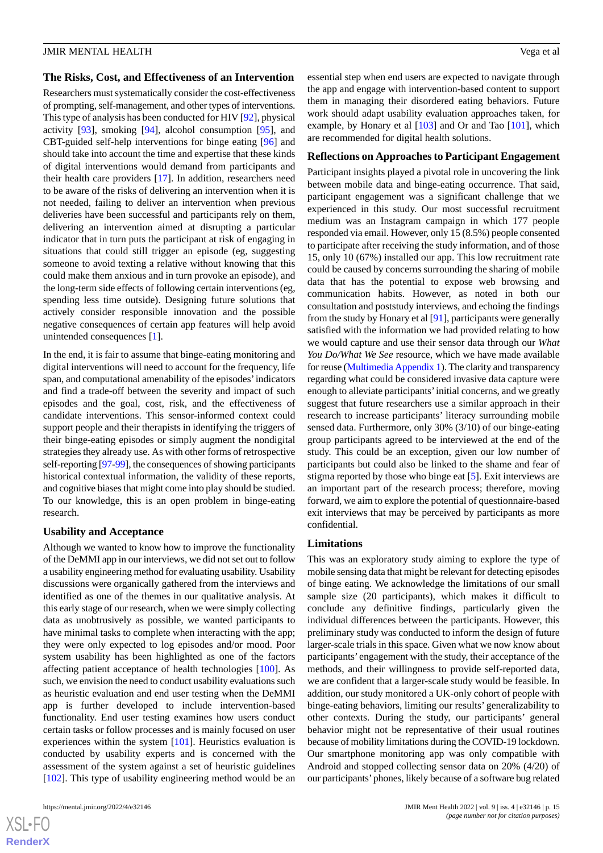#### **The Risks, Cost, and Effectiveness of an Intervention**

Researchers must systematically consider the cost-effectiveness of prompting, self-management, and other types of interventions. This type of analysis has been conducted for HIV [[92\]](#page-19-18), physical activity [\[93](#page-19-19)], smoking [[94\]](#page-19-20), alcohol consumption [[95\]](#page-19-21), and CBT-guided self-help interventions for binge eating [\[96](#page-19-22)] and should take into account the time and expertise that these kinds of digital interventions would demand from participants and their health care providers [[17\]](#page-16-7). In addition, researchers need to be aware of the risks of delivering an intervention when it is not needed, failing to deliver an intervention when previous deliveries have been successful and participants rely on them, delivering an intervention aimed at disrupting a particular indicator that in turn puts the participant at risk of engaging in situations that could still trigger an episode (eg, suggesting someone to avoid texting a relative without knowing that this could make them anxious and in turn provoke an episode), and the long-term side effects of following certain interventions (eg, spending less time outside). Designing future solutions that actively consider responsible innovation and the possible negative consequences of certain app features will help avoid unintended consequences [\[1](#page-15-0)].

In the end, it is fair to assume that binge-eating monitoring and digital interventions will need to account for the frequency, life span, and computational amenability of the episodes'indicators and find a trade-off between the severity and impact of such episodes and the goal, cost, risk, and the effectiveness of candidate interventions. This sensor-informed context could support people and their therapists in identifying the triggers of their binge-eating episodes or simply augment the nondigital strategies they already use. As with other forms of retrospective self-reporting [[97-](#page-19-23)[99\]](#page-20-0), the consequences of showing participants historical contextual information, the validity of these reports, and cognitive biases that might come into play should be studied. To our knowledge, this is an open problem in binge-eating research.

#### **Usability and Acceptance**

Although we wanted to know how to improve the functionality of the DeMMI app in our interviews, we did not set out to follow a usability engineering method for evaluating usability. Usability discussions were organically gathered from the interviews and identified as one of the themes in our qualitative analysis. At this early stage of our research, when we were simply collecting data as unobtrusively as possible, we wanted participants to have minimal tasks to complete when interacting with the app; they were only expected to log episodes and/or mood. Poor system usability has been highlighted as one of the factors affecting patient acceptance of health technologies [\[100](#page-20-1)]. As such, we envision the need to conduct usability evaluations such as heuristic evaluation and end user testing when the DeMMI app is further developed to include intervention-based functionality. End user testing examines how users conduct certain tasks or follow processes and is mainly focused on user experiences within the system [\[101](#page-20-2)]. Heuristics evaluation is conducted by usability experts and is concerned with the assessment of the system against a set of heuristic guidelines [[102\]](#page-20-3). This type of usability engineering method would be an

 $XS$ -FO **[RenderX](http://www.renderx.com/)** essential step when end users are expected to navigate through the app and engage with intervention-based content to support them in managing their disordered eating behaviors. Future work should adapt usability evaluation approaches taken, for example, by Honary et al [\[103](#page-20-4)] and Or and Tao [\[101](#page-20-2)], which are recommended for digital health solutions.

#### **Reflections on Approaches to Participant Engagement**

Participant insights played a pivotal role in uncovering the link between mobile data and binge-eating occurrence. That said, participant engagement was a significant challenge that we experienced in this study. Our most successful recruitment medium was an Instagram campaign in which 177 people responded via email. However, only 15 (8.5%) people consented to participate after receiving the study information, and of those 15, only 10 (67%) installed our app. This low recruitment rate could be caused by concerns surrounding the sharing of mobile data that has the potential to expose web browsing and communication habits. However, as noted in both our consultation and poststudy interviews, and echoing the findings from the study by Honary et al [[91\]](#page-19-17), participants were generally satisfied with the information we had provided relating to how we would capture and use their sensor data through our *What You Do/What We See* resource, which we have made available for reuse ([Multimedia Appendix 1\)](#page-15-8). The clarity and transparency regarding what could be considered invasive data capture were enough to alleviate participants'initial concerns, and we greatly suggest that future researchers use a similar approach in their research to increase participants' literacy surrounding mobile sensed data. Furthermore, only 30% (3/10) of our binge-eating group participants agreed to be interviewed at the end of the study. This could be an exception, given our low number of participants but could also be linked to the shame and fear of stigma reported by those who binge eat [[5\]](#page-15-4). Exit interviews are an important part of the research process; therefore, moving forward, we aim to explore the potential of questionnaire-based exit interviews that may be perceived by participants as more confidential.

#### **Limitations**

This was an exploratory study aiming to explore the type of mobile sensing data that might be relevant for detecting episodes of binge eating. We acknowledge the limitations of our small sample size (20 participants), which makes it difficult to conclude any definitive findings, particularly given the individual differences between the participants. However, this preliminary study was conducted to inform the design of future larger-scale trials in this space. Given what we now know about participants' engagement with the study, their acceptance of the methods, and their willingness to provide self-reported data, we are confident that a larger-scale study would be feasible. In addition, our study monitored a UK-only cohort of people with binge-eating behaviors, limiting our results' generalizability to other contexts. During the study, our participants' general behavior might not be representative of their usual routines because of mobility limitations during the COVID-19 lockdown. Our smartphone monitoring app was only compatible with Android and stopped collecting sensor data on 20% (4/20) of our participants'phones, likely because of a software bug related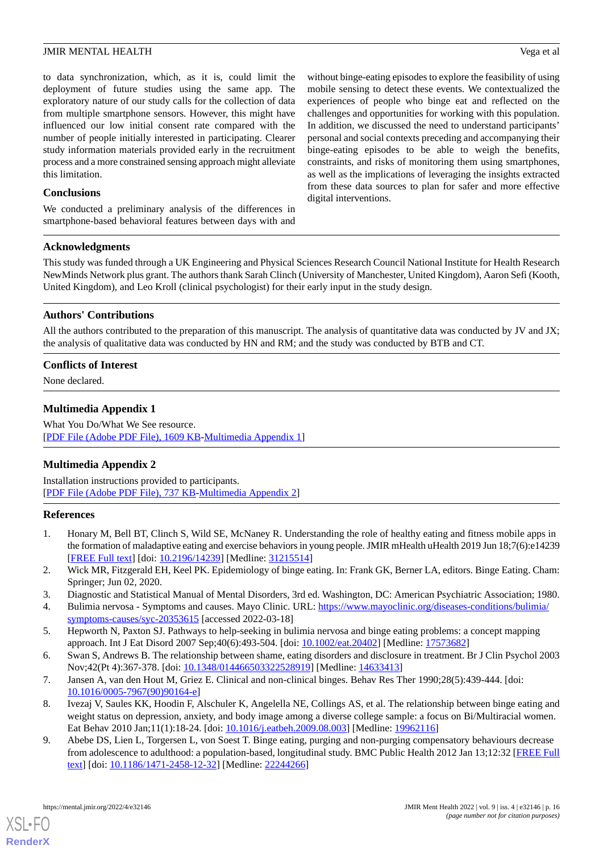to data synchronization, which, as it is, could limit the deployment of future studies using the same app. The exploratory nature of our study calls for the collection of data from multiple smartphone sensors. However, this might have influenced our low initial consent rate compared with the number of people initially interested in participating. Clearer study information materials provided early in the recruitment process and a more constrained sensing approach might alleviate this limitation.

## **Conclusions**

We conducted a preliminary analysis of the differences in smartphone-based behavioral features between days with and without binge-eating episodes to explore the feasibility of using mobile sensing to detect these events. We contextualized the experiences of people who binge eat and reflected on the challenges and opportunities for working with this population. In addition, we discussed the need to understand participants' personal and social contexts preceding and accompanying their binge-eating episodes to be able to weigh the benefits, constraints, and risks of monitoring them using smartphones, as well as the implications of leveraging the insights extracted from these data sources to plan for safer and more effective digital interventions.

## **Acknowledgments**

This study was funded through a UK Engineering and Physical Sciences Research Council National Institute for Health Research NewMinds Network plus grant. The authors thank Sarah Clinch (University of Manchester, United Kingdom), Aaron Sefi (Kooth, United Kingdom), and Leo Kroll (clinical psychologist) for their early input in the study design.

## **Authors' Contributions**

All the authors contributed to the preparation of this manuscript. The analysis of quantitative data was conducted by JV and JX; the analysis of qualitative data was conducted by HN and RM; and the study was conducted by BTB and CT.

## <span id="page-15-8"></span>**Conflicts of Interest**

None declared.

## **Multimedia Appendix 1**

<span id="page-15-9"></span>What You Do/What We See resource. [[PDF File \(Adobe PDF File\), 1609 KB](https://jmir.org/api/download?alt_name=mental_v9i4e32146_app1.pdf&filename=d1d8ac6a03de1e06a221e07cd32559c0.pdf)-[Multimedia Appendix 1\]](https://jmir.org/api/download?alt_name=mental_v9i4e32146_app1.pdf&filename=d1d8ac6a03de1e06a221e07cd32559c0.pdf)

## **Multimedia Appendix 2**

<span id="page-15-0"></span>Installation instructions provided to participants. [[PDF File \(Adobe PDF File\), 737 KB](https://jmir.org/api/download?alt_name=mental_v9i4e32146_app2.pdf&filename=99b9519d3771b75cd08c6c3a644822ab.pdf)-[Multimedia Appendix 2\]](https://jmir.org/api/download?alt_name=mental_v9i4e32146_app2.pdf&filename=99b9519d3771b75cd08c6c3a644822ab.pdf)

## <span id="page-15-1"></span>**References**

- <span id="page-15-3"></span><span id="page-15-2"></span>1. Honary M, Bell BT, Clinch S, Wild SE, McNaney R. Understanding the role of healthy eating and fitness mobile apps in the formation of maladaptive eating and exercise behaviors in young people. JMIR mHealth uHealth 2019 Jun 18;7(6):e14239 [[FREE Full text](https://mhealth.jmir.org/2019/6/e14239/)] [doi: [10.2196/14239\]](http://dx.doi.org/10.2196/14239) [Medline: [31215514\]](http://www.ncbi.nlm.nih.gov/entrez/query.fcgi?cmd=Retrieve&db=PubMed&list_uids=31215514&dopt=Abstract)
- <span id="page-15-4"></span>2. Wick MR, Fitzgerald EH, Keel PK. Epidemiology of binge eating. In: Frank GK, Berner LA, editors. Binge Eating. Cham: Springer; Jun 02, 2020.
- <span id="page-15-5"></span>3. Diagnostic and Statistical Manual of Mental Disorders, 3rd ed. Washington, DC: American Psychiatric Association; 1980.
- <span id="page-15-6"></span>4. Bulimia nervosa - Symptoms and causes. Mayo Clinic. URL: [https://www.mayoclinic.org/diseases-conditions/bulimia/](https://www.mayoclinic.org/diseases-conditions/bulimia/symptoms-causes/syc-20353615) [symptoms-causes/syc-20353615](https://www.mayoclinic.org/diseases-conditions/bulimia/symptoms-causes/syc-20353615) [accessed 2022-03-18]
- <span id="page-15-7"></span>5. Hepworth N, Paxton SJ. Pathways to help-seeking in bulimia nervosa and binge eating problems: a concept mapping approach. Int J Eat Disord 2007 Sep;40(6):493-504. [doi: [10.1002/eat.20402\]](http://dx.doi.org/10.1002/eat.20402) [Medline: [17573682](http://www.ncbi.nlm.nih.gov/entrez/query.fcgi?cmd=Retrieve&db=PubMed&list_uids=17573682&dopt=Abstract)]
- 6. Swan S, Andrews B. The relationship between shame, eating disorders and disclosure in treatment. Br J Clin Psychol 2003 Nov;42(Pt 4):367-378. [doi: [10.1348/014466503322528919\]](http://dx.doi.org/10.1348/014466503322528919) [Medline: [14633413](http://www.ncbi.nlm.nih.gov/entrez/query.fcgi?cmd=Retrieve&db=PubMed&list_uids=14633413&dopt=Abstract)]
- 7. Jansen A, van den Hout M, Griez E. Clinical and non-clinical binges. Behav Res Ther 1990;28(5):439-444. [doi: [10.1016/0005-7967\(90\)90164-e\]](http://dx.doi.org/10.1016/0005-7967(90)90164-e)
- 8. Ivezaj V, Saules KK, Hoodin F, Alschuler K, Angelella NE, Collings AS, et al. The relationship between binge eating and weight status on depression, anxiety, and body image among a diverse college sample: a focus on Bi/Multiracial women. Eat Behav 2010 Jan;11(1):18-24. [doi: [10.1016/j.eatbeh.2009.08.003](http://dx.doi.org/10.1016/j.eatbeh.2009.08.003)] [Medline: [19962116\]](http://www.ncbi.nlm.nih.gov/entrez/query.fcgi?cmd=Retrieve&db=PubMed&list_uids=19962116&dopt=Abstract)
- 9. Abebe DS, Lien L, Torgersen L, von Soest T. Binge eating, purging and non-purging compensatory behaviours decrease from adolescence to adulthood: a population-based, longitudinal study. BMC Public Health 2012 Jan 13;12:32 [[FREE Full](https://bmcpublichealth.biomedcentral.com/articles/10.1186/1471-2458-12-32) [text](https://bmcpublichealth.biomedcentral.com/articles/10.1186/1471-2458-12-32)] [doi: [10.1186/1471-2458-12-32\]](http://dx.doi.org/10.1186/1471-2458-12-32) [Medline: [22244266\]](http://www.ncbi.nlm.nih.gov/entrez/query.fcgi?cmd=Retrieve&db=PubMed&list_uids=22244266&dopt=Abstract)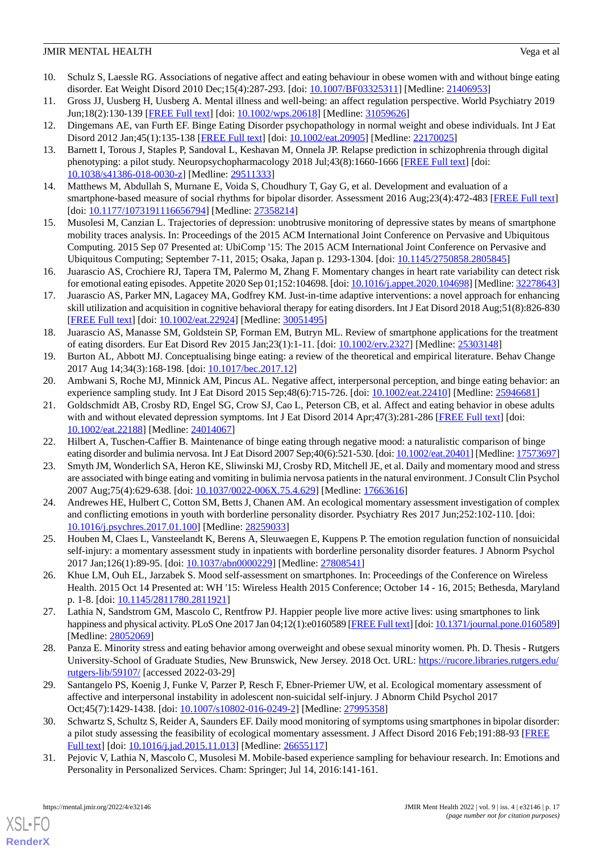- <span id="page-16-0"></span>10. Schulz S, Laessle RG. Associations of negative affect and eating behaviour in obese women with and without binge eating disorder. Eat Weight Disord 2010 Dec;15(4):287-293. [doi: [10.1007/BF03325311\]](http://dx.doi.org/10.1007/BF03325311) [Medline: [21406953](http://www.ncbi.nlm.nih.gov/entrez/query.fcgi?cmd=Retrieve&db=PubMed&list_uids=21406953&dopt=Abstract)]
- <span id="page-16-1"></span>11. Gross JJ, Uusberg H, Uusberg A. Mental illness and well-being: an affect regulation perspective. World Psychiatry 2019 Jun;18(2):130-139 [[FREE Full text](https://doi.org/10.1002/wps.20618)] [doi: [10.1002/wps.20618](http://dx.doi.org/10.1002/wps.20618)] [Medline: [31059626](http://www.ncbi.nlm.nih.gov/entrez/query.fcgi?cmd=Retrieve&db=PubMed&list_uids=31059626&dopt=Abstract)]
- <span id="page-16-3"></span><span id="page-16-2"></span>12. Dingemans AE, van Furth EF. Binge Eating Disorder psychopathology in normal weight and obese individuals. Int J Eat Disord 2012 Jan;45(1):135-138 [\[FREE Full text\]](https://doi.org/10.1002/eat.20905) [doi: [10.1002/eat.20905](http://dx.doi.org/10.1002/eat.20905)] [Medline: [22170025](http://www.ncbi.nlm.nih.gov/entrez/query.fcgi?cmd=Retrieve&db=PubMed&list_uids=22170025&dopt=Abstract)]
- 13. Barnett I, Torous J, Staples P, Sandoval L, Keshavan M, Onnela JP. Relapse prediction in schizophrenia through digital phenotyping: a pilot study. Neuropsychopharmacology 2018 Jul;43(8):1660-1666 [\[FREE Full text\]](http://europepmc.org/abstract/MED/29511333) [doi: [10.1038/s41386-018-0030-z](http://dx.doi.org/10.1038/s41386-018-0030-z)] [Medline: [29511333\]](http://www.ncbi.nlm.nih.gov/entrez/query.fcgi?cmd=Retrieve&db=PubMed&list_uids=29511333&dopt=Abstract)
- <span id="page-16-5"></span><span id="page-16-4"></span>14. Matthews M, Abdullah S, Murnane E, Voida S, Choudhury T, Gay G, et al. Development and evaluation of a smartphone-based measure of social rhythms for bipolar disorder. Assessment 2016 Aug;23(4):472-483 [[FREE Full text\]](http://europepmc.org/abstract/MED/27358214) [doi: [10.1177/1073191116656794](http://dx.doi.org/10.1177/1073191116656794)] [Medline: [27358214\]](http://www.ncbi.nlm.nih.gov/entrez/query.fcgi?cmd=Retrieve&db=PubMed&list_uids=27358214&dopt=Abstract)
- <span id="page-16-6"></span>15. Musolesi M, Canzian L. Trajectories of depression: unobtrusive monitoring of depressive states by means of smartphone mobility traces analysis. In: Proceedings of the 2015 ACM International Joint Conference on Pervasive and Ubiquitous Computing. 2015 Sep 07 Presented at: UbiComp '15: The 2015 ACM International Joint Conference on Pervasive and Ubiquitous Computing; September 7-11, 2015; Osaka, Japan p. 1293-1304. [doi: [10.1145/2750858.2805845](http://dx.doi.org/10.1145/2750858.2805845)]
- <span id="page-16-7"></span>16. Juarascio AS, Crochiere RJ, Tapera TM, Palermo M, Zhang F. Momentary changes in heart rate variability can detect risk for emotional eating episodes. Appetite 2020 Sep 01;152:104698. [doi: [10.1016/j.appet.2020.104698](http://dx.doi.org/10.1016/j.appet.2020.104698)] [Medline: [32278643\]](http://www.ncbi.nlm.nih.gov/entrez/query.fcgi?cmd=Retrieve&db=PubMed&list_uids=32278643&dopt=Abstract)
- <span id="page-16-8"></span>17. Juarascio AS, Parker MN, Lagacey MA, Godfrey KM. Just-in-time adaptive interventions: a novel approach for enhancing skill utilization and acquisition in cognitive behavioral therapy for eating disorders. Int J Eat Disord 2018 Aug;51(8):826-830 [[FREE Full text](http://europepmc.org/abstract/MED/30051495)] [doi: [10.1002/eat.22924\]](http://dx.doi.org/10.1002/eat.22924) [Medline: [30051495\]](http://www.ncbi.nlm.nih.gov/entrez/query.fcgi?cmd=Retrieve&db=PubMed&list_uids=30051495&dopt=Abstract)
- <span id="page-16-10"></span><span id="page-16-9"></span>18. Juarascio AS, Manasse SM, Goldstein SP, Forman EM, Butryn ML. Review of smartphone applications for the treatment of eating disorders. Eur Eat Disord Rev 2015 Jan;23(1):1-11. [doi: [10.1002/erv.2327](http://dx.doi.org/10.1002/erv.2327)] [Medline: [25303148](http://www.ncbi.nlm.nih.gov/entrez/query.fcgi?cmd=Retrieve&db=PubMed&list_uids=25303148&dopt=Abstract)]
- 19. Burton AL, Abbott MJ. Conceptualising binge eating: a review of the theoretical and empirical literature. Behav Change 2017 Aug 14;34(3):168-198. [doi: [10.1017/bec.2017.12\]](http://dx.doi.org/10.1017/bec.2017.12)
- 20. Ambwani S, Roche MJ, Minnick AM, Pincus AL. Negative affect, interpersonal perception, and binge eating behavior: an experience sampling study. Int J Eat Disord 2015 Sep;48(6):715-726. [doi: [10.1002/eat.22410\]](http://dx.doi.org/10.1002/eat.22410) [Medline: [25946681\]](http://www.ncbi.nlm.nih.gov/entrez/query.fcgi?cmd=Retrieve&db=PubMed&list_uids=25946681&dopt=Abstract)
- <span id="page-16-16"></span><span id="page-16-11"></span>21. Goldschmidt AB, Crosby RD, Engel SG, Crow SJ, Cao L, Peterson CB, et al. Affect and eating behavior in obese adults with and without elevated depression symptoms. Int J Eat Disord 2014 Apr;47(3):281-286 [[FREE Full text\]](http://europepmc.org/abstract/MED/24014067) [doi: [10.1002/eat.22188\]](http://dx.doi.org/10.1002/eat.22188) [Medline: [24014067\]](http://www.ncbi.nlm.nih.gov/entrez/query.fcgi?cmd=Retrieve&db=PubMed&list_uids=24014067&dopt=Abstract)
- <span id="page-16-12"></span>22. Hilbert A, Tuschen-Caffier B. Maintenance of binge eating through negative mood: a naturalistic comparison of binge eating disorder and bulimia nervosa. Int J Eat Disord 2007 Sep;40(6):521-530. [doi: [10.1002/eat.20401](http://dx.doi.org/10.1002/eat.20401)] [Medline: [17573697](http://www.ncbi.nlm.nih.gov/entrez/query.fcgi?cmd=Retrieve&db=PubMed&list_uids=17573697&dopt=Abstract)]
- 23. Smyth JM, Wonderlich SA, Heron KE, Sliwinski MJ, Crosby RD, Mitchell JE, et al. Daily and momentary mood and stress are associated with binge eating and vomiting in bulimia nervosa patients in the natural environment. J Consult Clin Psychol 2007 Aug;75(4):629-638. [doi: [10.1037/0022-006X.75.4.629\]](http://dx.doi.org/10.1037/0022-006X.75.4.629) [Medline: [17663616](http://www.ncbi.nlm.nih.gov/entrez/query.fcgi?cmd=Retrieve&db=PubMed&list_uids=17663616&dopt=Abstract)]
- <span id="page-16-15"></span>24. Andrewes HE, Hulbert C, Cotton SM, Betts J, Chanen AM. An ecological momentary assessment investigation of complex and conflicting emotions in youth with borderline personality disorder. Psychiatry Res 2017 Jun;252:102-110. [doi: [10.1016/j.psychres.2017.01.100\]](http://dx.doi.org/10.1016/j.psychres.2017.01.100) [Medline: [28259033](http://www.ncbi.nlm.nih.gov/entrez/query.fcgi?cmd=Retrieve&db=PubMed&list_uids=28259033&dopt=Abstract)]
- 25. Houben M, Claes L, Vansteelandt K, Berens A, Sleuwaegen E, Kuppens P. The emotion regulation function of nonsuicidal self-injury: a momentary assessment study in inpatients with borderline personality disorder features. J Abnorm Psychol 2017 Jan;126(1):89-95. [doi: [10.1037/abn0000229](http://dx.doi.org/10.1037/abn0000229)] [Medline: [27808541\]](http://www.ncbi.nlm.nih.gov/entrez/query.fcgi?cmd=Retrieve&db=PubMed&list_uids=27808541&dopt=Abstract)
- 26. Khue LM, Ouh EL, Jarzabek S. Mood self-assessment on smartphones. In: Proceedings of the Conference on Wireless Health. 2015 Oct 14 Presented at: WH '15: Wireless Health 2015 Conference; October 14 - 16, 2015; Bethesda, Maryland p. 1-8. [doi: [10.1145/2811780.2811921](http://dx.doi.org/10.1145/2811780.2811921)]
- 27. Lathia N, Sandstrom GM, Mascolo C, Rentfrow PJ. Happier people live more active lives: using smartphones to link happiness and physical activity. PLoS One 2017 Jan 04;12(1):e0160589 [\[FREE Full text\]](https://dx.plos.org/10.1371/journal.pone.0160589) [doi: [10.1371/journal.pone.0160589\]](http://dx.doi.org/10.1371/journal.pone.0160589) [Medline: [28052069](http://www.ncbi.nlm.nih.gov/entrez/query.fcgi?cmd=Retrieve&db=PubMed&list_uids=28052069&dopt=Abstract)]
- <span id="page-16-13"></span>28. Panza E. Minority stress and eating behavior among overweight and obese sexual minority women. Ph. D. Thesis - Rutgers University-School of Graduate Studies, New Brunswick, New Jersey. 2018 Oct. URL: [https://rucore.libraries.rutgers.edu/](https://rucore.libraries.rutgers.edu/rutgers-lib/59107/) [rutgers-lib/59107/](https://rucore.libraries.rutgers.edu/rutgers-lib/59107/) [accessed 2022-03-29]
- <span id="page-16-14"></span>29. Santangelo PS, Koenig J, Funke V, Parzer P, Resch F, Ebner-Priemer UW, et al. Ecological momentary assessment of affective and interpersonal instability in adolescent non-suicidal self-injury. J Abnorm Child Psychol 2017 Oct;45(7):1429-1438. [doi: [10.1007/s10802-016-0249-2](http://dx.doi.org/10.1007/s10802-016-0249-2)] [Medline: [27995358\]](http://www.ncbi.nlm.nih.gov/entrez/query.fcgi?cmd=Retrieve&db=PubMed&list_uids=27995358&dopt=Abstract)
- 30. Schwartz S, Schultz S, Reider A, Saunders EF. Daily mood monitoring of symptoms using smartphones in bipolar disorder: a pilot study assessing the feasibility of ecological momentary assessment. J Affect Disord 2016 Feb;191:88-93 [\[FREE](http://europepmc.org/abstract/MED/26655117) [Full text\]](http://europepmc.org/abstract/MED/26655117) [doi: [10.1016/j.jad.2015.11.013](http://dx.doi.org/10.1016/j.jad.2015.11.013)] [Medline: [26655117](http://www.ncbi.nlm.nih.gov/entrez/query.fcgi?cmd=Retrieve&db=PubMed&list_uids=26655117&dopt=Abstract)]
- 31. Pejovic V, Lathia N, Mascolo C, Musolesi M. Mobile-based experience sampling for behaviour research. In: Emotions and Personality in Personalized Services. Cham: Springer; Jul 14, 2016:141-161.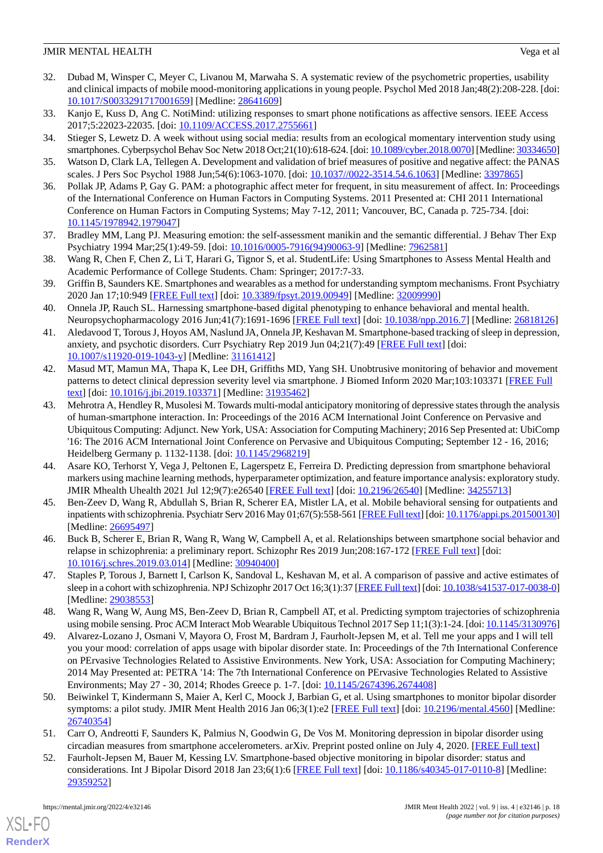- <span id="page-17-0"></span>32. Dubad M, Winsper C, Meyer C, Livanou M, Marwaha S. A systematic review of the psychometric properties, usability and clinical impacts of mobile mood-monitoring applications in young people. Psychol Med 2018 Jan;48(2):208-228. [doi: [10.1017/S0033291717001659](http://dx.doi.org/10.1017/S0033291717001659)] [Medline: [28641609](http://www.ncbi.nlm.nih.gov/entrez/query.fcgi?cmd=Retrieve&db=PubMed&list_uids=28641609&dopt=Abstract)]
- <span id="page-17-2"></span><span id="page-17-1"></span>33. Kanjo E, Kuss D, Ang C. NotiMind: utilizing responses to smart phone notifications as affective sensors. IEEE Access 2017;5:22023-22035. [doi: [10.1109/ACCESS.2017.2755661\]](http://dx.doi.org/10.1109/ACCESS.2017.2755661)
- <span id="page-17-3"></span>34. Stieger S, Lewetz D. A week without using social media: results from an ecological momentary intervention study using smartphones. Cyberpsychol Behav Soc Netw 2018 Oct;21(10):618-624. [doi: [10.1089/cyber.2018.0070](http://dx.doi.org/10.1089/cyber.2018.0070)] [Medline: [30334650\]](http://www.ncbi.nlm.nih.gov/entrez/query.fcgi?cmd=Retrieve&db=PubMed&list_uids=30334650&dopt=Abstract)
- <span id="page-17-4"></span>35. Watson D, Clark LA, Tellegen A. Development and validation of brief measures of positive and negative affect: the PANAS scales. J Pers Soc Psychol 1988 Jun;54(6):1063-1070. [doi: [10.1037//0022-3514.54.6.1063](http://dx.doi.org/10.1037//0022-3514.54.6.1063)] [Medline: [3397865](http://www.ncbi.nlm.nih.gov/entrez/query.fcgi?cmd=Retrieve&db=PubMed&list_uids=3397865&dopt=Abstract)]
- 36. Pollak JP, Adams P, Gay G. PAM: a photographic affect meter for frequent, in situ measurement of affect. In: Proceedings of the International Conference on Human Factors in Computing Systems. 2011 Presented at: CHI 2011 International Conference on Human Factors in Computing Systems; May 7-12, 2011; Vancouver, BC, Canada p. 725-734. [doi: [10.1145/1978942.1979047](http://dx.doi.org/10.1145/1978942.1979047)]
- <span id="page-17-6"></span><span id="page-17-5"></span>37. Bradley MM, Lang PJ. Measuring emotion: the self-assessment manikin and the semantic differential. J Behav Ther Exp Psychiatry 1994 Mar;25(1):49-59. [doi: [10.1016/0005-7916\(94\)90063-9\]](http://dx.doi.org/10.1016/0005-7916(94)90063-9) [Medline: [7962581\]](http://www.ncbi.nlm.nih.gov/entrez/query.fcgi?cmd=Retrieve&db=PubMed&list_uids=7962581&dopt=Abstract)
- <span id="page-17-7"></span>38. Wang R, Chen F, Chen Z, Li T, Harari G, Tignor S, et al. StudentLife: Using Smartphones to Assess Mental Health and Academic Performance of College Students. Cham: Springer; 2017:7-33.
- <span id="page-17-8"></span>39. Griffin B, Saunders KE. Smartphones and wearables as a method for understanding symptom mechanisms. Front Psychiatry 2020 Jan 17;10:949 [\[FREE Full text\]](https://doi.org/10.3389/fpsyt.2019.00949) [doi: [10.3389/fpsyt.2019.00949](http://dx.doi.org/10.3389/fpsyt.2019.00949)] [Medline: [32009990\]](http://www.ncbi.nlm.nih.gov/entrez/query.fcgi?cmd=Retrieve&db=PubMed&list_uids=32009990&dopt=Abstract)
- <span id="page-17-9"></span>40. Onnela JP, Rauch SL. Harnessing smartphone-based digital phenotyping to enhance behavioral and mental health. Neuropsychopharmacology 2016 Jun;41(7):1691-1696 [\[FREE Full text\]](http://europepmc.org/abstract/MED/26818126) [doi: [10.1038/npp.2016.7](http://dx.doi.org/10.1038/npp.2016.7)] [Medline: [26818126](http://www.ncbi.nlm.nih.gov/entrez/query.fcgi?cmd=Retrieve&db=PubMed&list_uids=26818126&dopt=Abstract)]
- 41. Aledavood T, Torous J, Hoyos AM, Naslund JA, Onnela JP, Keshavan M. Smartphone-based tracking of sleep in depression, anxiety, and psychotic disorders. Curr Psychiatry Rep 2019 Jun 04;21(7):49 [[FREE Full text](http://europepmc.org/abstract/MED/31161412)] [doi: [10.1007/s11920-019-1043-y\]](http://dx.doi.org/10.1007/s11920-019-1043-y) [Medline: [31161412](http://www.ncbi.nlm.nih.gov/entrez/query.fcgi?cmd=Retrieve&db=PubMed&list_uids=31161412&dopt=Abstract)]
- 42. Masud MT, Mamun MA, Thapa K, Lee DH, Griffiths MD, Yang SH. Unobtrusive monitoring of behavior and movement patterns to detect clinical depression severity level via smartphone. J Biomed Inform 2020 Mar;103:103371 [[FREE Full](https://linkinghub.elsevier.com/retrieve/pii/S1532-0464(19)30291-6) [text](https://linkinghub.elsevier.com/retrieve/pii/S1532-0464(19)30291-6)] [doi: [10.1016/j.jbi.2019.103371\]](http://dx.doi.org/10.1016/j.jbi.2019.103371) [Medline: [31935462](http://www.ncbi.nlm.nih.gov/entrez/query.fcgi?cmd=Retrieve&db=PubMed&list_uids=31935462&dopt=Abstract)]
- <span id="page-17-10"></span>43. Mehrotra A, Hendley R, Musolesi M. Towards multi-modal anticipatory monitoring of depressive states through the analysis of human-smartphone interaction. In: Proceedings of the 2016 ACM International Joint Conference on Pervasive and Ubiquitous Computing: Adjunct. New York, USA: Association for Computing Machinery; 2016 Sep Presented at: UbiComp '16: The 2016 ACM International Joint Conference on Pervasive and Ubiquitous Computing; September 12 - 16, 2016; Heidelberg Germany p. 1132-1138. [doi: [10.1145/2968219\]](http://dx.doi.org/10.1145/2968219)
- <span id="page-17-11"></span>44. Asare KO, Terhorst Y, Vega J, Peltonen E, Lagerspetz E, Ferreira D. Predicting depression from smartphone behavioral markers using machine learning methods, hyperparameter optimization, and feature importance analysis: exploratory study. JMIR Mhealth Uhealth 2021 Jul 12;9(7):e26540 [[FREE Full text](https://mhealth.jmir.org/2021/7/e26540/)] [doi: [10.2196/26540\]](http://dx.doi.org/10.2196/26540) [Medline: [34255713\]](http://www.ncbi.nlm.nih.gov/entrez/query.fcgi?cmd=Retrieve&db=PubMed&list_uids=34255713&dopt=Abstract)
- <span id="page-17-14"></span>45. Ben-Zeev D, Wang R, Abdullah S, Brian R, Scherer EA, Mistler LA, et al. Mobile behavioral sensing for outpatients and inpatients with schizophrenia. Psychiatr Serv 2016 May 01;67(5):558-561 [\[FREE Full text](http://europepmc.org/abstract/MED/26695497)] [doi: [10.1176/appi.ps.201500130\]](http://dx.doi.org/10.1176/appi.ps.201500130) [Medline: [26695497](http://www.ncbi.nlm.nih.gov/entrez/query.fcgi?cmd=Retrieve&db=PubMed&list_uids=26695497&dopt=Abstract)]
- <span id="page-17-12"></span>46. Buck B, Scherer E, Brian R, Wang R, Wang W, Campbell A, et al. Relationships between smartphone social behavior and relapse in schizophrenia: a preliminary report. Schizophr Res 2019 Jun;208:167-172 [\[FREE Full text](http://europepmc.org/abstract/MED/30940400)] [doi: [10.1016/j.schres.2019.03.014\]](http://dx.doi.org/10.1016/j.schres.2019.03.014) [Medline: [30940400](http://www.ncbi.nlm.nih.gov/entrez/query.fcgi?cmd=Retrieve&db=PubMed&list_uids=30940400&dopt=Abstract)]
- <span id="page-17-13"></span>47. Staples P, Torous J, Barnett I, Carlson K, Sandoval L, Keshavan M, et al. A comparison of passive and active estimates of sleep in a cohort with schizophrenia. NPJ Schizophr 2017 Oct 16;3(1):37 [[FREE Full text\]](https://doi.org/10.1038/s41537-017-0038-0) [doi: [10.1038/s41537-017-0038-0\]](http://dx.doi.org/10.1038/s41537-017-0038-0) [Medline: [29038553](http://www.ncbi.nlm.nih.gov/entrez/query.fcgi?cmd=Retrieve&db=PubMed&list_uids=29038553&dopt=Abstract)]
- 48. Wang R, Wang W, Aung MS, Ben-Zeev D, Brian R, Campbell AT, et al. Predicting symptom trajectories of schizophrenia using mobile sensing. Proc ACM Interact Mob Wearable Ubiquitous Technol 2017 Sep 11;1(3):1-24. [doi: [10.1145/3130976\]](http://dx.doi.org/10.1145/3130976)
- 49. Alvarez-Lozano J, Osmani V, Mayora O, Frost M, Bardram J, Faurholt-Jepsen M, et al. Tell me your apps and I will tell you your mood: correlation of apps usage with bipolar disorder state. In: Proceedings of the 7th International Conference on PErvasive Technologies Related to Assistive Environments. New York, USA: Association for Computing Machinery; 2014 May Presented at: PETRA '14: The 7th International Conference on PErvasive Technologies Related to Assistive Environments; May 27 - 30, 2014; Rhodes Greece p. 1-7. [doi: [10.1145/2674396.2674408\]](http://dx.doi.org/10.1145/2674396.2674408)
- 50. Beiwinkel T, Kindermann S, Maier A, Kerl C, Moock J, Barbian G, et al. Using smartphones to monitor bipolar disorder symptoms: a pilot study. JMIR Ment Health 2016 Jan 06;3(1):e2 [[FREE Full text](https://mental.jmir.org/2016/1/e2/)] [doi: [10.2196/mental.4560](http://dx.doi.org/10.2196/mental.4560)] [Medline: [26740354](http://www.ncbi.nlm.nih.gov/entrez/query.fcgi?cmd=Retrieve&db=PubMed&list_uids=26740354&dopt=Abstract)]
- 51. Carr O, Andreotti F, Saunders K, Palmius N, Goodwin G, De Vos M. Monitoring depression in bipolar disorder using circadian measures from smartphone accelerometers. arXiv. Preprint posted online on July 4, 2020. [\[FREE Full text\]](http://arxiv.org/abs/2007.02064)
- 52. Faurholt-Jepsen M, Bauer M, Kessing LV. Smartphone-based objective monitoring in bipolar disorder: status and considerations. Int J Bipolar Disord 2018 Jan 23;6(1):6 [[FREE Full text](http://europepmc.org/abstract/MED/29359252)] [doi: [10.1186/s40345-017-0110-8\]](http://dx.doi.org/10.1186/s40345-017-0110-8) [Medline: [29359252](http://www.ncbi.nlm.nih.gov/entrez/query.fcgi?cmd=Retrieve&db=PubMed&list_uids=29359252&dopt=Abstract)]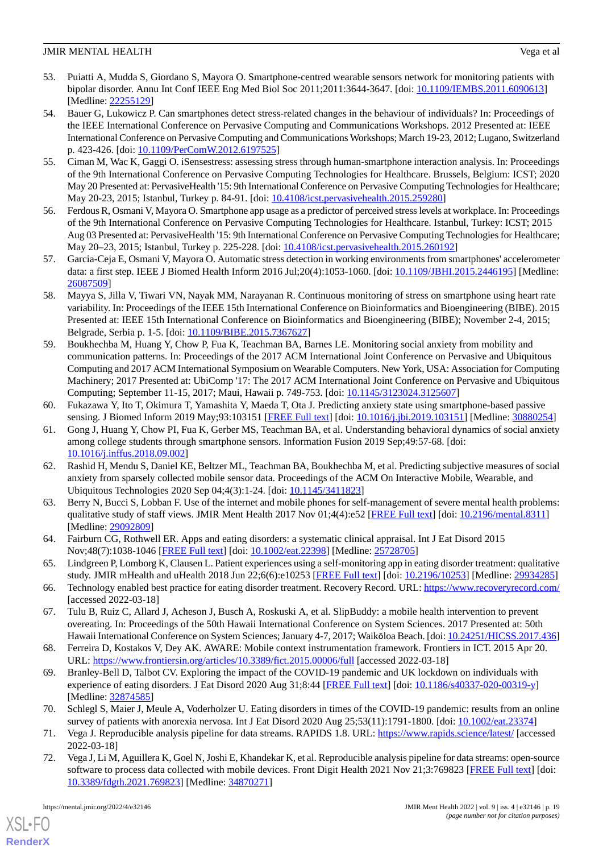- <span id="page-18-0"></span>53. Puiatti A, Mudda S, Giordano S, Mayora O. Smartphone-centred wearable sensors network for monitoring patients with bipolar disorder. Annu Int Conf IEEE Eng Med Biol Soc 2011;2011:3644-3647. [doi: [10.1109/IEMBS.2011.6090613](http://dx.doi.org/10.1109/IEMBS.2011.6090613)] [Medline: [22255129](http://www.ncbi.nlm.nih.gov/entrez/query.fcgi?cmd=Retrieve&db=PubMed&list_uids=22255129&dopt=Abstract)]
- <span id="page-18-1"></span>54. Bauer G, Lukowicz P. Can smartphones detect stress-related changes in the behaviour of individuals? In: Proceedings of the IEEE International Conference on Pervasive Computing and Communications Workshops. 2012 Presented at: IEEE International Conference on Pervasive Computing and Communications Workshops; March 19-23, 2012; Lugano, Switzerland p. 423-426. [doi: [10.1109/PerComW.2012.6197525\]](http://dx.doi.org/10.1109/PerComW.2012.6197525)
- 55. Ciman M, Wac K, Gaggi O. iSensestress: assessing stress through human-smartphone interaction analysis. In: Proceedings of the 9th International Conference on Pervasive Computing Technologies for Healthcare. Brussels, Belgium: ICST; 2020 May 20 Presented at: PervasiveHealth '15: 9th International Conference on Pervasive Computing Technologies for Healthcare; May 20-23, 2015; Istanbul, Turkey p. 84-91. [doi: [10.4108/icst.pervasivehealth.2015.259280](http://dx.doi.org/10.4108/icst.pervasivehealth.2015.259280)]
- 56. Ferdous R, Osmani V, Mayora O. Smartphone app usage as a predictor of perceived stress levels at workplace. In: Proceedings of the 9th International Conference on Pervasive Computing Technologies for Healthcare. Istanbul, Turkey: ICST; 2015 Aug 03 Presented at: PervasiveHealth '15: 9th International Conference on Pervasive Computing Technologies for Healthcare; May 20–23, 2015; Istanbul, Turkey p. 225-228. [doi: [10.4108/icst.pervasivehealth.2015.260192\]](http://dx.doi.org/10.4108/icst.pervasivehealth.2015.260192)
- <span id="page-18-2"></span>57. Garcia-Ceja E, Osmani V, Mayora O. Automatic stress detection in working environments from smartphones' accelerometer data: a first step. IEEE J Biomed Health Inform 2016 Jul;20(4):1053-1060. [doi: [10.1109/JBHI.2015.2446195\]](http://dx.doi.org/10.1109/JBHI.2015.2446195) [Medline: [26087509](http://www.ncbi.nlm.nih.gov/entrez/query.fcgi?cmd=Retrieve&db=PubMed&list_uids=26087509&dopt=Abstract)]
- <span id="page-18-3"></span>58. Mayya S, Jilla V, Tiwari VN, Nayak MM, Narayanan R. Continuous monitoring of stress on smartphone using heart rate variability. In: Proceedings of the IEEE 15th International Conference on Bioinformatics and Bioengineering (BIBE). 2015 Presented at: IEEE 15th International Conference on Bioinformatics and Bioengineering (BIBE); November 2-4, 2015; Belgrade, Serbia p. 1-5. [doi: [10.1109/BIBE.2015.7367627\]](http://dx.doi.org/10.1109/BIBE.2015.7367627)
- 59. Boukhechba M, Huang Y, Chow P, Fua K, Teachman BA, Barnes LE. Monitoring social anxiety from mobility and communication patterns. In: Proceedings of the 2017 ACM International Joint Conference on Pervasive and Ubiquitous Computing and 2017 ACM International Symposium on Wearable Computers. New York, USA: Association for Computing Machinery; 2017 Presented at: UbiComp '17: The 2017 ACM International Joint Conference on Pervasive and Ubiquitous Computing; September 11-15, 2017; Maui, Hawaii p. 749-753. [doi: [10.1145/3123024.3125607](http://dx.doi.org/10.1145/3123024.3125607)]
- 60. Fukazawa Y, Ito T, Okimura T, Yamashita Y, Maeda T, Ota J. Predicting anxiety state using smartphone-based passive sensing. J Biomed Inform 2019 May;93:103151 [[FREE Full text\]](https://linkinghub.elsevier.com/retrieve/pii/S1532-0464(19)30069-3) [doi: [10.1016/j.jbi.2019.103151](http://dx.doi.org/10.1016/j.jbi.2019.103151)] [Medline: [30880254](http://www.ncbi.nlm.nih.gov/entrez/query.fcgi?cmd=Retrieve&db=PubMed&list_uids=30880254&dopt=Abstract)]
- <span id="page-18-4"></span>61. Gong J, Huang Y, Chow PI, Fua K, Gerber MS, Teachman BA, et al. Understanding behavioral dynamics of social anxiety among college students through smartphone sensors. Information Fusion 2019 Sep;49:57-68. [doi: [10.1016/j.inffus.2018.09.002\]](http://dx.doi.org/10.1016/j.inffus.2018.09.002)
- <span id="page-18-5"></span>62. Rashid H, Mendu S, Daniel KE, Beltzer ML, Teachman BA, Boukhechba M, et al. Predicting subjective measures of social anxiety from sparsely collected mobile sensor data. Proceedings of the ACM On Interactive Mobile, Wearable, and Ubiquitous Technologies 2020 Sep 04;4(3):1-24. [doi: [10.1145/3411823](http://dx.doi.org/10.1145/3411823)]
- <span id="page-18-7"></span><span id="page-18-6"></span>63. Berry N, Bucci S, Lobban F. Use of the internet and mobile phones for self-management of severe mental health problems: qualitative study of staff views. JMIR Ment Health 2017 Nov 01;4(4):e52 [\[FREE Full text\]](https://mental.jmir.org/2017/4/e52/) [doi: [10.2196/mental.8311](http://dx.doi.org/10.2196/mental.8311)] [Medline: [29092809](http://www.ncbi.nlm.nih.gov/entrez/query.fcgi?cmd=Retrieve&db=PubMed&list_uids=29092809&dopt=Abstract)]
- <span id="page-18-8"></span>64. Fairburn CG, Rothwell ER. Apps and eating disorders: a systematic clinical appraisal. Int J Eat Disord 2015 Nov;48(7):1038-1046 [[FREE Full text](http://europepmc.org/abstract/MED/25728705)] [doi: [10.1002/eat.22398](http://dx.doi.org/10.1002/eat.22398)] [Medline: [25728705\]](http://www.ncbi.nlm.nih.gov/entrez/query.fcgi?cmd=Retrieve&db=PubMed&list_uids=25728705&dopt=Abstract)
- <span id="page-18-9"></span>65. Lindgreen P, Lomborg K, Clausen L. Patient experiences using a self-monitoring app in eating disorder treatment: qualitative study. JMIR mHealth and uHealth 2018 Jun 22;6(6):e10253 [\[FREE Full text\]](https://mhealth.jmir.org/2018/6/e10253/) [doi: [10.2196/10253](http://dx.doi.org/10.2196/10253)] [Medline: [29934285\]](http://www.ncbi.nlm.nih.gov/entrez/query.fcgi?cmd=Retrieve&db=PubMed&list_uids=29934285&dopt=Abstract)
- <span id="page-18-10"></span>66. Technology enabled best practice for eating disorder treatment. Recovery Record. URL: <https://www.recoveryrecord.com/> [accessed 2022-03-18]
- <span id="page-18-11"></span>67. Tulu B, Ruiz C, Allard J, Acheson J, Busch A, Roskuski A, et al. SlipBuddy: a mobile health intervention to prevent overeating. In: Proceedings of the 50th Hawaii International Conference on System Sciences. 2017 Presented at: 50th Hawaii International Conference on System Sciences; January 4-7, 2017; Waikōloa Beach. [doi: [10.24251/HICSS.2017.436\]](http://dx.doi.org/10.24251/HICSS.2017.436)
- <span id="page-18-13"></span><span id="page-18-12"></span>68. Ferreira D, Kostakos V, Dey AK. AWARE: Mobile context instrumentation framework. Frontiers in ICT. 2015 Apr 20. URL: <https://www.frontiersin.org/articles/10.3389/fict.2015.00006/full> [accessed 2022-03-18]
- <span id="page-18-14"></span>69. Branley-Bell D, Talbot CV. Exploring the impact of the COVID-19 pandemic and UK lockdown on individuals with experience of eating disorders. J Eat Disord 2020 Aug 31;8:44 [\[FREE Full text\]](https://jeatdisord.biomedcentral.com/articles/10.1186/s40337-020-00319-y) [doi: [10.1186/s40337-020-00319-y\]](http://dx.doi.org/10.1186/s40337-020-00319-y) [Medline: [32874585](http://www.ncbi.nlm.nih.gov/entrez/query.fcgi?cmd=Retrieve&db=PubMed&list_uids=32874585&dopt=Abstract)]
- 70. Schlegl S, Maier J, Meule A, Voderholzer U. Eating disorders in times of the COVID-19 pandemic: results from an online survey of patients with anorexia nervosa. Int J Eat Disord 2020 Aug 25;53(11):1791-1800. [doi: [10.1002/eat.23374\]](http://dx.doi.org/10.1002/eat.23374)
- 71. Vega J. Reproducible analysis pipeline for data streams. RAPIDS 1.8. URL:<https://www.rapids.science/latest/> [accessed 2022-03-18]
- 72. Vega J, Li M, Aguillera K, Goel N, Joshi E, Khandekar K, et al. Reproducible analysis pipeline for data streams: open-source software to process data collected with mobile devices. Front Digit Health 2021 Nov 21;3:769823 [\[FREE Full text](http://europepmc.org/abstract/MED/34870271)] [doi: [10.3389/fdgth.2021.769823\]](http://dx.doi.org/10.3389/fdgth.2021.769823) [Medline: [34870271\]](http://www.ncbi.nlm.nih.gov/entrez/query.fcgi?cmd=Retrieve&db=PubMed&list_uids=34870271&dopt=Abstract)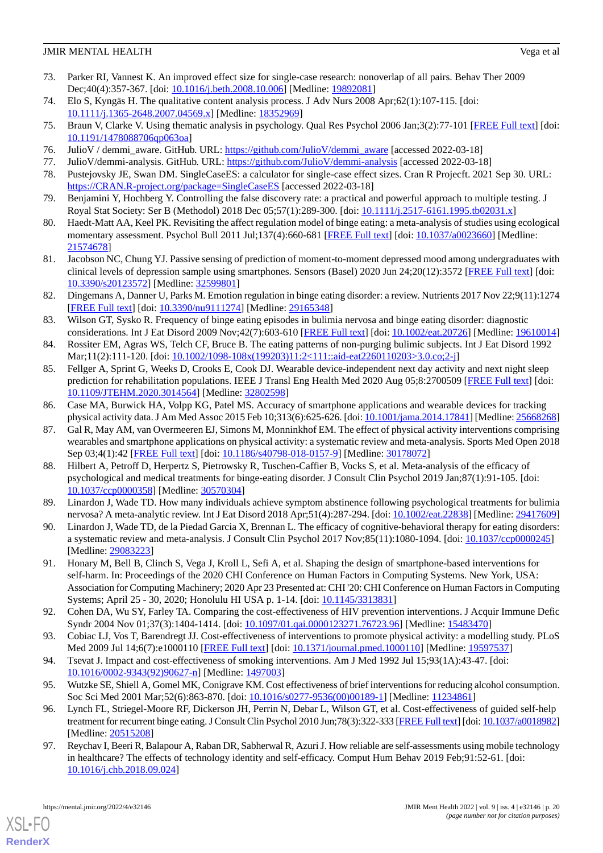- <span id="page-19-0"></span>73. Parker RI, Vannest K. An improved effect size for single-case research: nonoverlap of all pairs. Behav Ther 2009 Dec;40(4):357-367. [doi: [10.1016/j.beth.2008.10.006\]](http://dx.doi.org/10.1016/j.beth.2008.10.006) [Medline: [19892081\]](http://www.ncbi.nlm.nih.gov/entrez/query.fcgi?cmd=Retrieve&db=PubMed&list_uids=19892081&dopt=Abstract)
- <span id="page-19-1"></span>74. Elo S, Kyngäs H. The qualitative content analysis process. J Adv Nurs 2008 Apr;62(1):107-115. [doi: [10.1111/j.1365-2648.2007.04569.x\]](http://dx.doi.org/10.1111/j.1365-2648.2007.04569.x) [Medline: [18352969\]](http://www.ncbi.nlm.nih.gov/entrez/query.fcgi?cmd=Retrieve&db=PubMed&list_uids=18352969&dopt=Abstract)
- <span id="page-19-3"></span><span id="page-19-2"></span>75. Braun V, Clarke V. Using thematic analysis in psychology. Qual Res Psychol 2006 Jan;3(2):77-101 [[FREE Full text](https://doi.org/10.1191/1478088706qp063oa)] [doi: [10.1191/1478088706qp063oa](http://dx.doi.org/10.1191/1478088706qp063oa)]
- <span id="page-19-4"></span>76. JulioV / demmi\_aware. GitHub. URL: [https://github.com/JulioV/demmi\\_aware](https://github.com/JulioV/demmi_aware) [accessed 2022-03-18]
- <span id="page-19-5"></span>77. JulioV/demmi-analysis. GitHub. URL:<https://github.com/JulioV/demmi-analysis> [accessed 2022-03-18]
- <span id="page-19-6"></span>78. Pustejovsky JE, Swan DM. SingleCaseES: a calculator for single-case effect sizes. Cran R Projecft. 2021 Sep 30. URL: <https://CRAN.R-project.org/package=SingleCaseES> [accessed 2022-03-18]
- <span id="page-19-7"></span>79. Benjamini Y, Hochberg Y. Controlling the false discovery rate: a practical and powerful approach to multiple testing. J Royal Stat Society: Ser B (Methodol) 2018 Dec 05;57(1):289-300. [doi: [10.1111/j.2517-6161.1995.tb02031.x](http://dx.doi.org/10.1111/j.2517-6161.1995.tb02031.x)]
- <span id="page-19-8"></span>80. Haedt-Matt AA, Keel PK. Revisiting the affect regulation model of binge eating: a meta-analysis of studies using ecological momentary assessment. Psychol Bull 2011 Jul;137(4):660-681 [[FREE Full text\]](http://europepmc.org/abstract/MED/21574678) [doi: [10.1037/a0023660\]](http://dx.doi.org/10.1037/a0023660) [Medline: [21574678](http://www.ncbi.nlm.nih.gov/entrez/query.fcgi?cmd=Retrieve&db=PubMed&list_uids=21574678&dopt=Abstract)]
- <span id="page-19-9"></span>81. Jacobson NC, Chung YJ. Passive sensing of prediction of moment-to-moment depressed mood among undergraduates with clinical levels of depression sample using smartphones. Sensors (Basel) 2020 Jun 24;20(12):3572 [\[FREE Full text\]](https://www.mdpi.com/resolver?pii=s20123572) [doi: [10.3390/s20123572\]](http://dx.doi.org/10.3390/s20123572) [Medline: [32599801\]](http://www.ncbi.nlm.nih.gov/entrez/query.fcgi?cmd=Retrieve&db=PubMed&list_uids=32599801&dopt=Abstract)
- <span id="page-19-10"></span>82. Dingemans A, Danner U, Parks M. Emotion regulation in binge eating disorder: a review. Nutrients 2017 Nov 22;9(11):1274 [[FREE Full text](https://www.mdpi.com/resolver?pii=nu9111274)] [doi: [10.3390/nu9111274\]](http://dx.doi.org/10.3390/nu9111274) [Medline: [29165348\]](http://www.ncbi.nlm.nih.gov/entrez/query.fcgi?cmd=Retrieve&db=PubMed&list_uids=29165348&dopt=Abstract)
- <span id="page-19-11"></span>83. Wilson GT, Sysko R. Frequency of binge eating episodes in bulimia nervosa and binge eating disorder: diagnostic considerations. Int J Eat Disord 2009 Nov;42(7):603-610 [\[FREE Full text](http://europepmc.org/abstract/MED/19610014)] [doi: [10.1002/eat.20726\]](http://dx.doi.org/10.1002/eat.20726) [Medline: [19610014](http://www.ncbi.nlm.nih.gov/entrez/query.fcgi?cmd=Retrieve&db=PubMed&list_uids=19610014&dopt=Abstract)]
- <span id="page-19-12"></span>84. Rossiter EM, Agras WS, Telch CF, Bruce B. The eating patterns of non-purging bulimic subjects. Int J Eat Disord 1992 Mar;11(2):111-120. [doi: [10.1002/1098-108x\(199203\)11:2<111::aid-eat2260110203>3.0.co;2-j](http://dx.doi.org/10.1002/1098-108x(199203)11:2<111::aid-eat2260110203>3.0.co;2-j)]
- <span id="page-19-13"></span>85. Fellger A, Sprint G, Weeks D, Crooks E, Cook DJ. Wearable device-independent next day activity and next night sleep prediction for rehabilitation populations. IEEE J Transl Eng Health Med 2020 Aug 05;8:2700509 [[FREE Full text](http://europepmc.org/abstract/MED/32802598)] [doi: [10.1109/JTEHM.2020.3014564](http://dx.doi.org/10.1109/JTEHM.2020.3014564)] [Medline: [32802598\]](http://www.ncbi.nlm.nih.gov/entrez/query.fcgi?cmd=Retrieve&db=PubMed&list_uids=32802598&dopt=Abstract)
- 86. Case MA, Burwick HA, Volpp KG, Patel MS. Accuracy of smartphone applications and wearable devices for tracking physical activity data. J Am Med Assoc 2015 Feb 10;313(6):625-626. [doi: [10.1001/jama.2014.17841\]](http://dx.doi.org/10.1001/jama.2014.17841) [Medline: [25668268\]](http://www.ncbi.nlm.nih.gov/entrez/query.fcgi?cmd=Retrieve&db=PubMed&list_uids=25668268&dopt=Abstract)
- <span id="page-19-14"></span>87. Gal R, May AM, van Overmeeren EJ, Simons M, Monninkhof EM. The effect of physical activity interventions comprising wearables and smartphone applications on physical activity: a systematic review and meta-analysis. Sports Med Open 2018 Sep 03;4(1):42 [\[FREE Full text](http://europepmc.org/abstract/MED/30178072)] [doi: [10.1186/s40798-018-0157-9\]](http://dx.doi.org/10.1186/s40798-018-0157-9) [Medline: [30178072\]](http://www.ncbi.nlm.nih.gov/entrez/query.fcgi?cmd=Retrieve&db=PubMed&list_uids=30178072&dopt=Abstract)
- <span id="page-19-16"></span><span id="page-19-15"></span>88. Hilbert A, Petroff D, Herpertz S, Pietrowsky R, Tuschen-Caffier B, Vocks S, et al. Meta-analysis of the efficacy of psychological and medical treatments for binge-eating disorder. J Consult Clin Psychol 2019 Jan;87(1):91-105. [doi: [10.1037/ccp0000358\]](http://dx.doi.org/10.1037/ccp0000358) [Medline: [30570304](http://www.ncbi.nlm.nih.gov/entrez/query.fcgi?cmd=Retrieve&db=PubMed&list_uids=30570304&dopt=Abstract)]
- <span id="page-19-17"></span>89. Linardon J, Wade TD. How many individuals achieve symptom abstinence following psychological treatments for bulimia nervosa? A meta-analytic review. Int J Eat Disord 2018 Apr;51(4):287-294. [doi: [10.1002/eat.22838](http://dx.doi.org/10.1002/eat.22838)] [Medline: [29417609](http://www.ncbi.nlm.nih.gov/entrez/query.fcgi?cmd=Retrieve&db=PubMed&list_uids=29417609&dopt=Abstract)]
- 90. Linardon J, Wade TD, de la Piedad Garcia X, Brennan L. The efficacy of cognitive-behavioral therapy for eating disorders: a systematic review and meta-analysis. J Consult Clin Psychol 2017 Nov;85(11):1080-1094. [doi: [10.1037/ccp0000245\]](http://dx.doi.org/10.1037/ccp0000245) [Medline: [29083223](http://www.ncbi.nlm.nih.gov/entrez/query.fcgi?cmd=Retrieve&db=PubMed&list_uids=29083223&dopt=Abstract)]
- <span id="page-19-19"></span><span id="page-19-18"></span>91. Honary M, Bell B, Clinch S, Vega J, Kroll L, Sefi A, et al. Shaping the design of smartphone-based interventions for self-harm. In: Proceedings of the 2020 CHI Conference on Human Factors in Computing Systems. New York, USA: Association for Computing Machinery; 2020 Apr 23 Presented at: CHI '20: CHI Conference on Human Factors in Computing Systems; April 25 - 30, 2020; Honolulu HI USA p. 1-14. [doi: [10.1145/3313831](http://dx.doi.org/10.1145/3313831)]
- <span id="page-19-21"></span><span id="page-19-20"></span>92. Cohen DA, Wu SY, Farley TA. Comparing the cost-effectiveness of HIV prevention interventions. J Acquir Immune Defic Syndr 2004 Nov 01;37(3):1404-1414. [doi: [10.1097/01.qai.0000123271.76723.96](http://dx.doi.org/10.1097/01.qai.0000123271.76723.96)] [Medline: [15483470](http://www.ncbi.nlm.nih.gov/entrez/query.fcgi?cmd=Retrieve&db=PubMed&list_uids=15483470&dopt=Abstract)]
- <span id="page-19-22"></span>93. Cobiac LJ, Vos T, Barendregt JJ. Cost-effectiveness of interventions to promote physical activity: a modelling study. PLoS Med 2009 Jul 14;6(7):e1000110 [[FREE Full text\]](https://dx.plos.org/10.1371/journal.pmed.1000110) [doi: [10.1371/journal.pmed.1000110\]](http://dx.doi.org/10.1371/journal.pmed.1000110) [Medline: [19597537\]](http://www.ncbi.nlm.nih.gov/entrez/query.fcgi?cmd=Retrieve&db=PubMed&list_uids=19597537&dopt=Abstract)
- <span id="page-19-23"></span>94. Tsevat J. Impact and cost-effectiveness of smoking interventions. Am J Med 1992 Jul 15;93(1A):43-47. [doi: [10.1016/0002-9343\(92\)90627-n](http://dx.doi.org/10.1016/0002-9343(92)90627-n)] [Medline: [1497003\]](http://www.ncbi.nlm.nih.gov/entrez/query.fcgi?cmd=Retrieve&db=PubMed&list_uids=1497003&dopt=Abstract)
- 95. Wutzke SE, Shiell A, Gomel MK, Conigrave KM. Cost effectiveness of brief interventions for reducing alcohol consumption. Soc Sci Med 2001 Mar;52(6):863-870. [doi: [10.1016/s0277-9536\(00\)00189-1\]](http://dx.doi.org/10.1016/s0277-9536(00)00189-1) [Medline: [11234861](http://www.ncbi.nlm.nih.gov/entrez/query.fcgi?cmd=Retrieve&db=PubMed&list_uids=11234861&dopt=Abstract)]
- 96. Lynch FL, Striegel-Moore RF, Dickerson JH, Perrin N, Debar L, Wilson GT, et al. Cost-effectiveness of guided self-help treatment for recurrent binge eating. J Consult Clin Psychol 2010 Jun;78(3):322-333 [\[FREE Full text\]](http://europepmc.org/abstract/MED/20515208) [doi: [10.1037/a0018982\]](http://dx.doi.org/10.1037/a0018982) [Medline: [20515208](http://www.ncbi.nlm.nih.gov/entrez/query.fcgi?cmd=Retrieve&db=PubMed&list_uids=20515208&dopt=Abstract)]
- 97. Reychav I, Beeri R, Balapour A, Raban DR, Sabherwal R, Azuri J. How reliable are self-assessments using mobile technology in healthcare? The effects of technology identity and self-efficacy. Comput Hum Behav 2019 Feb;91:52-61. [doi: [10.1016/j.chb.2018.09.024\]](http://dx.doi.org/10.1016/j.chb.2018.09.024)